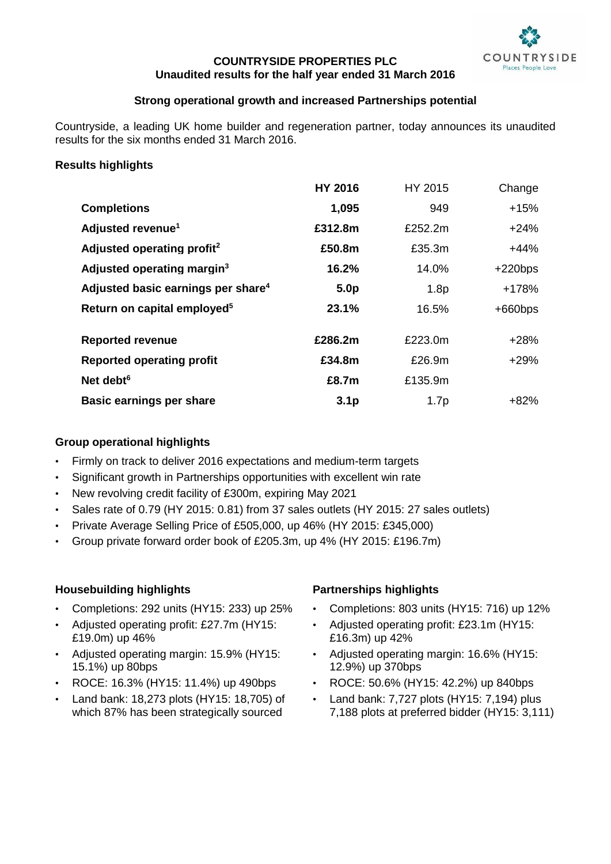

# **COUNTRYSIDE PROPERTIES PLC Unaudited results for the half year ended 31 March 2016**

# **Strong operational growth and increased Partnerships potential**

Countryside, a leading UK home builder and regeneration partner, today announces its unaudited results for the six months ended 31 March 2016.

# **Results highlights**

|                                                | <b>HY 2016</b>   | HY 2015          | Change    |
|------------------------------------------------|------------------|------------------|-----------|
| <b>Completions</b>                             | 1,095            | 949              | $+15%$    |
| Adjusted revenue <sup>1</sup>                  | £312.8m          | £252.2m          | $+24%$    |
| Adjusted operating profit <sup>2</sup>         | £50.8m           | £35.3m           | $+44%$    |
| Adjusted operating margin <sup>3</sup>         | 16.2%            | 14.0%            | $+220bps$ |
| Adjusted basic earnings per share <sup>4</sup> | 5.0 <sub>p</sub> | 1.8 <sub>p</sub> | +178%     |
| Return on capital employed <sup>5</sup>        | 23.1%            | 16.5%            | $+660bps$ |
|                                                |                  |                  |           |
| <b>Reported revenue</b>                        | £286.2m          | £223.0m          | $+28%$    |
| <b>Reported operating profit</b>               | £34.8m           | £26.9m           | $+29%$    |
| Net debt <sup>6</sup>                          | £8.7m            | £135.9m          |           |
| <b>Basic earnings per share</b>                | 3.1 <sub>p</sub> | 1.7 <sub>p</sub> | +82%      |

# **Group operational highlights**

- Firmly on track to deliver 2016 expectations and medium-term targets
- Significant growth in Partnerships opportunities with excellent win rate
- New revolving credit facility of £300m, expiring May 2021
- Sales rate of 0.79 (HY 2015: 0.81) from 37 sales outlets (HY 2015: 27 sales outlets)
- Private Average Selling Price of £505,000, up 46% (HY 2015: £345,000)
- Group private forward order book of £205.3m, up 4% (HY 2015: £196.7m)

# **Housebuilding highlights**

- Completions: 292 units (HY15: 233) up 25%
- Adjusted operating profit: £27.7m (HY15: £19.0m) up 46%
- Adjusted operating margin: 15.9% (HY15: 15.1%) up 80bps
- ROCE: 16.3% (HY15: 11.4%) up 490bps
- Land bank: 18,273 plots (HY15: 18,705) of which 87% has been strategically sourced

# **Partnerships highlights**

- Completions: 803 units (HY15: 716) up 12%
- Adjusted operating profit: £23.1m (HY15: £16.3m) up 42%
- Adjusted operating margin: 16.6% (HY15: 12.9%) up 370bps
- ROCE: 50.6% (HY15: 42.2%) up 840bps
- Land bank:  $7,727$  plots (HY15:  $7,194$ ) plus 7,188 plots at preferred bidder (HY15: 3,111)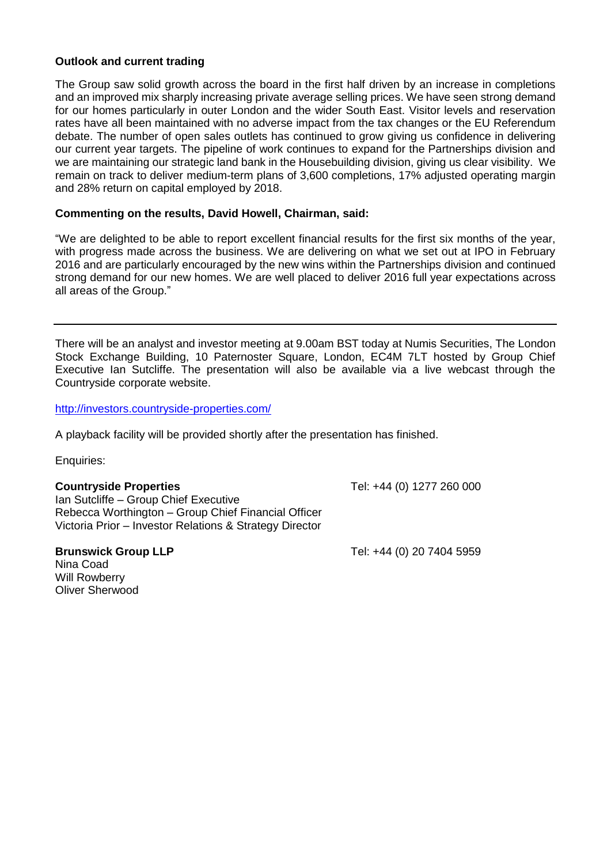# **Outlook and current trading**

The Group saw solid growth across the board in the first half driven by an increase in completions and an improved mix sharply increasing private average selling prices. We have seen strong demand for our homes particularly in outer London and the wider South East. Visitor levels and reservation rates have all been maintained with no adverse impact from the tax changes or the EU Referendum debate. The number of open sales outlets has continued to grow giving us confidence in delivering our current year targets. The pipeline of work continues to expand for the Partnerships division and we are maintaining our strategic land bank in the Housebuilding division, giving us clear visibility. We remain on track to deliver medium-term plans of 3,600 completions, 17% adjusted operating margin and 28% return on capital employed by 2018.

# **Commenting on the results, David Howell, Chairman, said:**

"We are delighted to be able to report excellent financial results for the first six months of the year, with progress made across the business. We are delivering on what we set out at IPO in February 2016 and are particularly encouraged by the new wins within the Partnerships division and continued strong demand for our new homes. We are well placed to deliver 2016 full year expectations across all areas of the Group."

There will be an analyst and investor meeting at 9.00am BST today at Numis Securities, The London Stock Exchange Building, 10 Paternoster Square, London, EC4M 7LT hosted by Group Chief Executive Ian Sutcliffe. The presentation will also be available via a live webcast through the Countryside corporate website.

<http://investors.countryside-properties.com/>

A playback facility will be provided shortly after the presentation has finished.

Enquiries:

**Countryside Properties** Tel: +44 (0) 1277 260 000 Ian Sutcliffe – Group Chief Executive Rebecca Worthington – Group Chief Financial Officer Victoria Prior – Investor Relations & Strategy Director

**Brunswick Group LLP Tel: +44 (0) 20 7404 5959** 

Nina Coad Will Rowberry Oliver Sherwood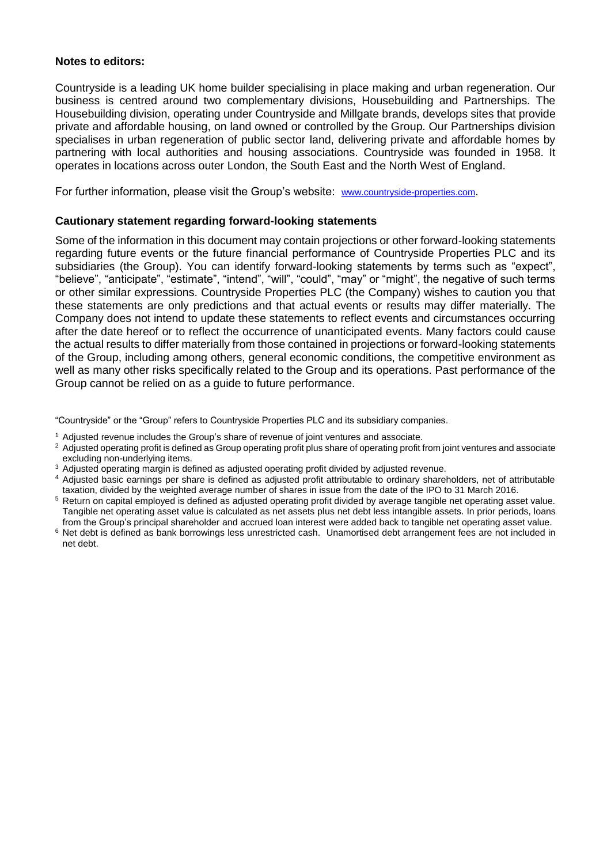# **Notes to editors:**

Countryside is a leading UK home builder specialising in place making and urban regeneration. Our business is centred around two complementary divisions, Housebuilding and Partnerships. The Housebuilding division, operating under Countryside and Millgate brands, develops sites that provide private and affordable housing, on land owned or controlled by the Group. Our Partnerships division specialises in urban regeneration of public sector land, delivering private and affordable homes by partnering with local authorities and housing associations. Countryside was founded in 1958. It operates in locations across outer London, the South East and the North West of England.

For further information, please visit the Group's website: [www.countryside-properties.com](http://www.countryside-properties.com/).

# **Cautionary statement regarding forward-looking statements**

Some of the information in this document may contain projections or other forward-looking statements regarding future events or the future financial performance of Countryside Properties PLC and its subsidiaries (the Group). You can identify forward-looking statements by terms such as "expect", "believe", "anticipate", "estimate", "intend", "will", "could", "may" or "might", the negative of such terms or other similar expressions. Countryside Properties PLC (the Company) wishes to caution you that these statements are only predictions and that actual events or results may differ materially. The Company does not intend to update these statements to reflect events and circumstances occurring after the date hereof or to reflect the occurrence of unanticipated events. Many factors could cause the actual results to differ materially from those contained in projections or forward-looking statements of the Group, including among others, general economic conditions, the competitive environment as well as many other risks specifically related to the Group and its operations. Past performance of the Group cannot be relied on as a guide to future performance.

"Countryside" or the "Group" refers to Countryside Properties PLC and its subsidiary companies.

- <sup>1</sup> Adjusted revenue includes the Group's share of revenue of joint ventures and associate.
- <sup>2</sup> Adjusted operating profit is defined as Group operating profit plus share of operating profit from joint ventures and associate excluding non-underlying items.
- <sup>3</sup> Adjusted operating margin is defined as adjusted operating profit divided by adjusted revenue.
- <sup>4</sup> Adjusted basic earnings per share is defined as adjusted profit attributable to ordinary shareholders, net of attributable taxation, divided by the weighted average number of shares in issue from the date of the IPO to 31 March 2016.
- <sup>5</sup> Return on capital employed is defined as adjusted operating profit divided by average tangible net operating asset value. Tangible net operating asset value is calculated as net assets plus net debt less intangible assets. In prior periods, loans from the Group's principal shareholder and accrued loan interest were added back to tangible net operating asset value.
- <sup>6</sup> Net debt is defined as bank borrowings less unrestricted cash. Unamortised debt arrangement fees are not included in net debt.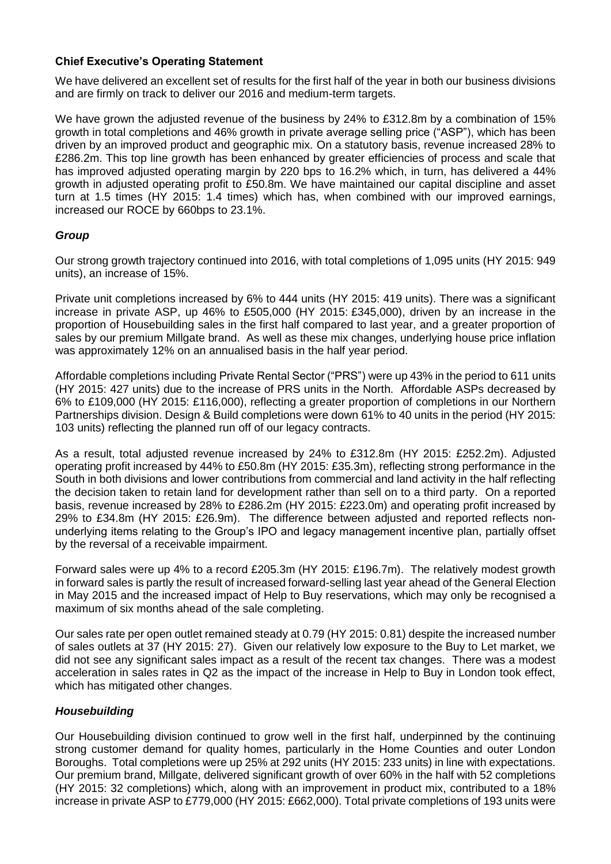# **Chief Executive's Operating Statement**

We have delivered an excellent set of results for the first half of the year in both our business divisions and are firmly on track to deliver our 2016 and medium-term targets.

We have grown the adjusted revenue of the business by 24% to £312.8m by a combination of 15% growth in total completions and 46% growth in private average selling price ("ASP"), which has been driven by an improved product and geographic mix. On a statutory basis, revenue increased 28% to £286.2m. This top line growth has been enhanced by greater efficiencies of process and scale that has improved adjusted operating margin by 220 bps to 16.2% which, in turn, has delivered a 44% growth in adjusted operating profit to £50.8m. We have maintained our capital discipline and asset turn at 1.5 times (HY 2015: 1.4 times) which has, when combined with our improved earnings, increased our ROCE by 660bps to 23.1%.

# *Group*

Our strong growth trajectory continued into 2016, with total completions of 1,095 units (HY 2015: 949 units), an increase of 15%.

Private unit completions increased by 6% to 444 units (HY 2015: 419 units). There was a significant increase in private ASP, up 46% to £505,000 (HY 2015: £345,000), driven by an increase in the proportion of Housebuilding sales in the first half compared to last year, and a greater proportion of sales by our premium Millgate brand. As well as these mix changes, underlying house price inflation was approximately 12% on an annualised basis in the half year period.

Affordable completions including Private Rental Sector ("PRS") were up 43% in the period to 611 units (HY 2015: 427 units) due to the increase of PRS units in the North. Affordable ASPs decreased by 6% to £109,000 (HY 2015: £116,000), reflecting a greater proportion of completions in our Northern Partnerships division. Design & Build completions were down 61% to 40 units in the period (HY 2015: 103 units) reflecting the planned run off of our legacy contracts.

As a result, total adjusted revenue increased by 24% to £312.8m (HY 2015: £252.2m). Adjusted operating profit increased by 44% to £50.8m (HY 2015: £35.3m), reflecting strong performance in the South in both divisions and lower contributions from commercial and land activity in the half reflecting the decision taken to retain land for development rather than sell on to a third party. On a reported basis, revenue increased by 28% to £286.2m (HY 2015: £223.0m) and operating profit increased by 29% to £34.8m (HY 2015: £26.9m). The difference between adjusted and reported reflects nonunderlying items relating to the Group's IPO and legacy management incentive plan, partially offset by the reversal of a receivable impairment.

Forward sales were up 4% to a record £205.3m (HY 2015: £196.7m). The relatively modest growth in forward sales is partly the result of increased forward-selling last year ahead of the General Election in May 2015 and the increased impact of Help to Buy reservations, which may only be recognised a maximum of six months ahead of the sale completing.

Our sales rate per open outlet remained steady at 0.79 (HY 2015: 0.81) despite the increased number of sales outlets at 37 (HY 2015: 27). Given our relatively low exposure to the Buy to Let market, we did not see any significant sales impact as a result of the recent tax changes. There was a modest acceleration in sales rates in Q2 as the impact of the increase in Help to Buy in London took effect, which has mitigated other changes.

# *Housebuilding*

Our Housebuilding division continued to grow well in the first half, underpinned by the continuing strong customer demand for quality homes, particularly in the Home Counties and outer London Boroughs. Total completions were up 25% at 292 units (HY 2015: 233 units) in line with expectations. Our premium brand, Millgate, delivered significant growth of over 60% in the half with 52 completions (HY 2015: 32 completions) which, along with an improvement in product mix, contributed to a 18% increase in private ASP to £779,000 (HY 2015: £662,000). Total private completions of 193 units were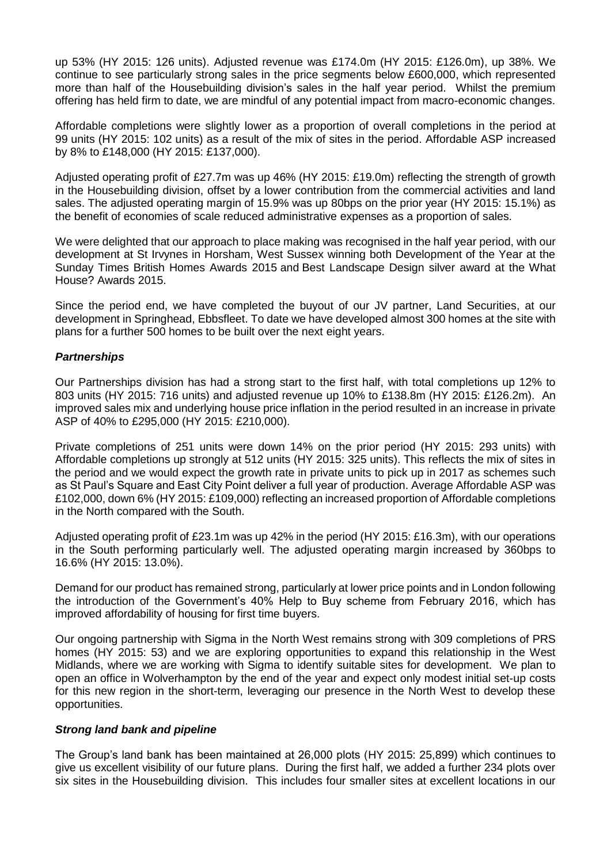up 53% (HY 2015: 126 units). Adjusted revenue was £174.0m (HY 2015: £126.0m), up 38%. We continue to see particularly strong sales in the price segments below £600,000, which represented more than half of the Housebuilding division's sales in the half year period. Whilst the premium offering has held firm to date, we are mindful of any potential impact from macro-economic changes.

Affordable completions were slightly lower as a proportion of overall completions in the period at 99 units (HY 2015: 102 units) as a result of the mix of sites in the period. Affordable ASP increased by 8% to £148,000 (HY 2015: £137,000).

Adjusted operating profit of £27.7m was up 46% (HY 2015: £19.0m) reflecting the strength of growth in the Housebuilding division, offset by a lower contribution from the commercial activities and land sales. The adjusted operating margin of 15.9% was up 80bps on the prior year (HY 2015: 15.1%) as the benefit of economies of scale reduced administrative expenses as a proportion of sales.

We were delighted that our approach to place making was recognised in the half year period, with our development at St Irvynes in Horsham, West Sussex winning both Development of the Year at the Sunday Times British Homes Awards 2015 and Best Landscape Design silver award at the What House? Awards 2015.

Since the period end, we have completed the buyout of our JV partner, Land Securities, at our development in Springhead, Ebbsfleet. To date we have developed almost 300 homes at the site with plans for a further 500 homes to be built over the next eight years.

# *Partnerships*

Our Partnerships division has had a strong start to the first half, with total completions up 12% to 803 units (HY 2015: 716 units) and adjusted revenue up 10% to £138.8m (HY 2015: £126.2m). An improved sales mix and underlying house price inflation in the period resulted in an increase in private ASP of 40% to £295,000 (HY 2015: £210,000).

Private completions of 251 units were down 14% on the prior period (HY 2015: 293 units) with Affordable completions up strongly at 512 units (HY 2015: 325 units). This reflects the mix of sites in the period and we would expect the growth rate in private units to pick up in 2017 as schemes such as St Paul's Square and East City Point deliver a full year of production. Average Affordable ASP was £102,000, down 6% (HY 2015: £109,000) reflecting an increased proportion of Affordable completions in the North compared with the South.

Adjusted operating profit of £23.1m was up 42% in the period (HY 2015: £16.3m), with our operations in the South performing particularly well. The adjusted operating margin increased by 360bps to 16.6% (HY 2015: 13.0%).

Demand for our product has remained strong, particularly at lower price points and in London following the introduction of the Government's 40% Help to Buy scheme from February 2016, which has improved affordability of housing for first time buyers.

Our ongoing partnership with Sigma in the North West remains strong with 309 completions of PRS homes (HY 2015: 53) and we are exploring opportunities to expand this relationship in the West Midlands, where we are working with Sigma to identify suitable sites for development. We plan to open an office in Wolverhampton by the end of the year and expect only modest initial set-up costs for this new region in the short-term, leveraging our presence in the North West to develop these opportunities.

# *Strong land bank and pipeline*

The Group's land bank has been maintained at 26,000 plots (HY 2015: 25,899) which continues to give us excellent visibility of our future plans. During the first half, we added a further 234 plots over six sites in the Housebuilding division. This includes four smaller sites at excellent locations in our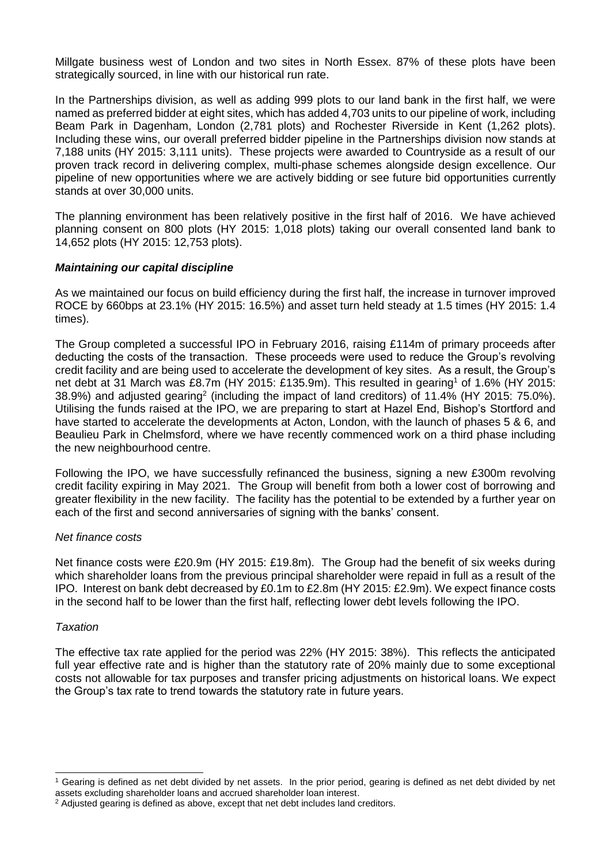Millgate business west of London and two sites in North Essex. 87% of these plots have been strategically sourced, in line with our historical run rate.

In the Partnerships division, as well as adding 999 plots to our land bank in the first half, we were named as preferred bidder at eight sites, which has added 4,703 units to our pipeline of work, including Beam Park in Dagenham, London (2,781 plots) and Rochester Riverside in Kent (1,262 plots). Including these wins, our overall preferred bidder pipeline in the Partnerships division now stands at 7,188 units (HY 2015: 3,111 units). These projects were awarded to Countryside as a result of our proven track record in delivering complex, multi-phase schemes alongside design excellence. Our pipeline of new opportunities where we are actively bidding or see future bid opportunities currently stands at over 30,000 units.

The planning environment has been relatively positive in the first half of 2016. We have achieved planning consent on 800 plots (HY 2015: 1,018 plots) taking our overall consented land bank to 14,652 plots (HY 2015: 12,753 plots).

# *Maintaining our capital discipline*

As we maintained our focus on build efficiency during the first half, the increase in turnover improved ROCE by 660bps at 23.1% (HY 2015: 16.5%) and asset turn held steady at 1.5 times (HY 2015: 1.4 times).

The Group completed a successful IPO in February 2016, raising £114m of primary proceeds after deducting the costs of the transaction. These proceeds were used to reduce the Group's revolving credit facility and are being used to accelerate the development of key sites. As a result, the Group's net debt at 31 March was £8.7m (HY 2015: £135.9m). This resulted in gearing<sup>1</sup> of 1.6% (HY 2015: 38.9%) and adjusted gearing<sup>2</sup> (including the impact of land creditors) of 11.4% (HY 2015: 75.0%). Utilising the funds raised at the IPO, we are preparing to start at Hazel End, Bishop's Stortford and have started to accelerate the developments at Acton, London, with the launch of phases 5 & 6, and Beaulieu Park in Chelmsford, where we have recently commenced work on a third phase including the new neighbourhood centre.

Following the IPO, we have successfully refinanced the business, signing a new £300m revolving credit facility expiring in May 2021. The Group will benefit from both a lower cost of borrowing and greater flexibility in the new facility. The facility has the potential to be extended by a further year on each of the first and second anniversaries of signing with the banks' consent.

# *Net finance costs*

Net finance costs were £20.9m (HY 2015: £19.8m). The Group had the benefit of six weeks during which shareholder loans from the previous principal shareholder were repaid in full as a result of the IPO. Interest on bank debt decreased by £0.1m to £2.8m (HY 2015: £2.9m). We expect finance costs in the second half to be lower than the first half, reflecting lower debt levels following the IPO.

# *Taxation*

l

The effective tax rate applied for the period was 22% (HY 2015: 38%). This reflects the anticipated full year effective rate and is higher than the statutory rate of 20% mainly due to some exceptional costs not allowable for tax purposes and transfer pricing adjustments on historical loans. We expect the Group's tax rate to trend towards the statutory rate in future years.

<sup>1</sup> Gearing is defined as net debt divided by net assets. In the prior period, gearing is defined as net debt divided by net assets excluding shareholder loans and accrued shareholder loan interest.

<sup>2</sup> Adjusted gearing is defined as above, except that net debt includes land creditors.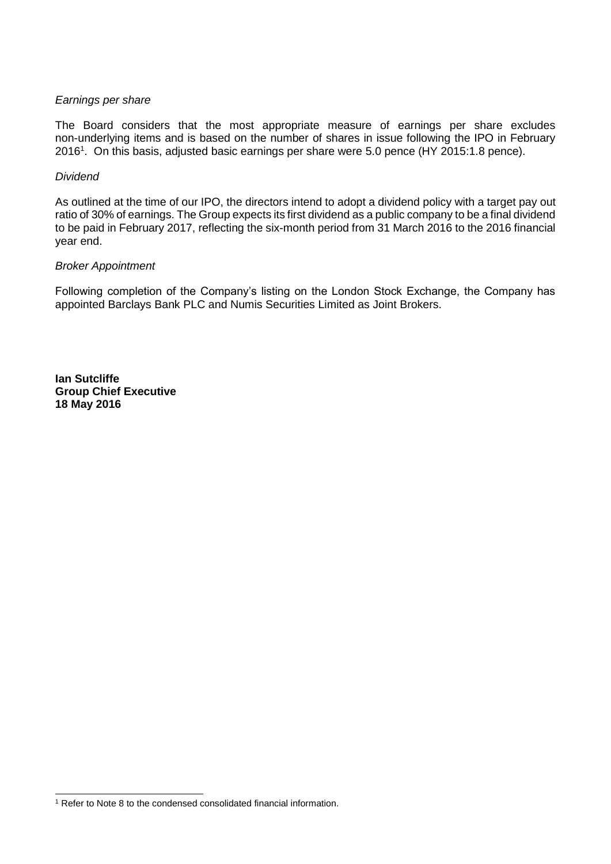# *Earnings per share*

The Board considers that the most appropriate measure of earnings per share excludes non-underlying items and is based on the number of shares in issue following the IPO in February 2016<sup>1</sup>. On this basis, adjusted basic earnings per share were 5.0 pence (HY 2015:1.8 pence).

# *Dividend*

As outlined at the time of our IPO, the directors intend to adopt a dividend policy with a target pay out ratio of 30% of earnings. The Group expects its first dividend as a public company to be a final dividend to be paid in February 2017, reflecting the six-month period from 31 March 2016 to the 2016 financial year end.

# *Broker Appointment*

Following completion of the Company's listing on the London Stock Exchange, the Company has appointed Barclays Bank PLC and Numis Securities Limited as Joint Brokers.

**Ian Sutcliffe Group Chief Executive 18 May 2016**

l <sup>1</sup> Refer to Note 8 to the condensed consolidated financial information.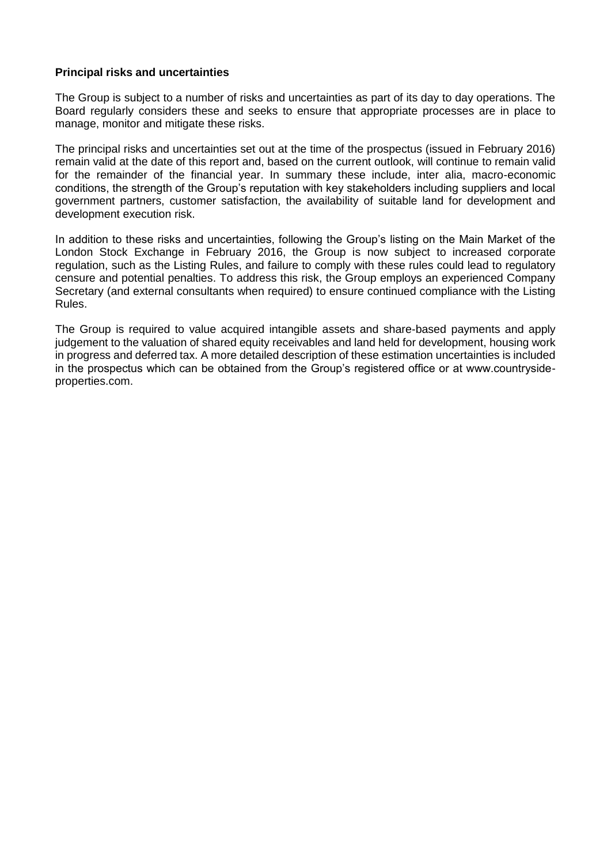# **Principal risks and uncertainties**

The Group is subject to a number of risks and uncertainties as part of its day to day operations. The Board regularly considers these and seeks to ensure that appropriate processes are in place to manage, monitor and mitigate these risks.

The principal risks and uncertainties set out at the time of the prospectus (issued in February 2016) remain valid at the date of this report and, based on the current outlook, will continue to remain valid for the remainder of the financial year. In summary these include, inter alia, macro-economic conditions, the strength of the Group's reputation with key stakeholders including suppliers and local government partners, customer satisfaction, the availability of suitable land for development and development execution risk.

In addition to these risks and uncertainties, following the Group's listing on the Main Market of the London Stock Exchange in February 2016, the Group is now subject to increased corporate regulation, such as the Listing Rules, and failure to comply with these rules could lead to regulatory censure and potential penalties. To address this risk, the Group employs an experienced Company Secretary (and external consultants when required) to ensure continued compliance with the Listing Rules.

The Group is required to value acquired intangible assets and share-based payments and apply judgement to the valuation of shared equity receivables and land held for development, housing work in progress and deferred tax. A more detailed description of these estimation uncertainties is included in the prospectus which can be obtained from the Group's registered office or at www.countrysideproperties.com.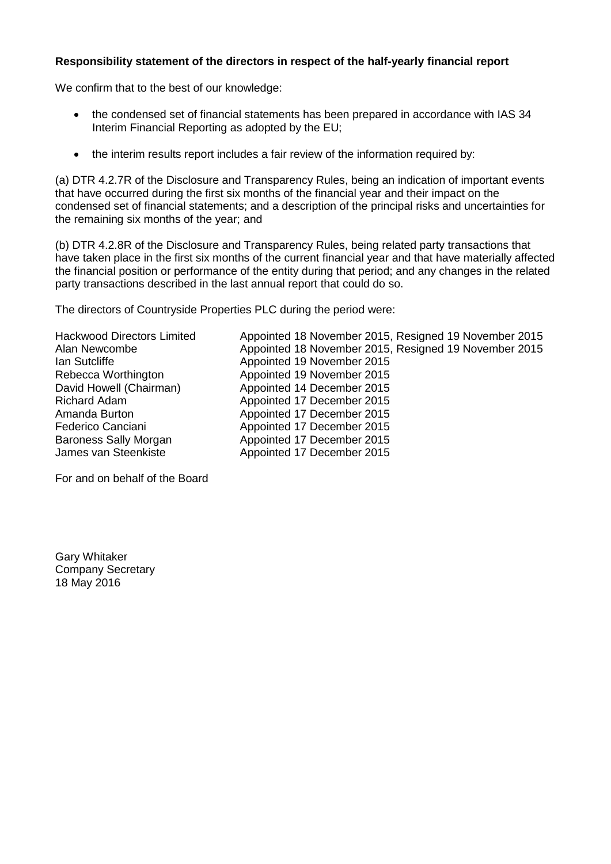# **Responsibility statement of the directors in respect of the half-yearly financial report**

We confirm that to the best of our knowledge:

- the condensed set of financial statements has been prepared in accordance with IAS 34 Interim Financial Reporting as adopted by the EU;
- the interim results report includes a fair review of the information required by:

(a) DTR 4.2.7R of the Disclosure and Transparency Rules, being an indication of important events that have occurred during the first six months of the financial year and their impact on the condensed set of financial statements; and a description of the principal risks and uncertainties for the remaining six months of the year; and

(b) DTR 4.2.8R of the Disclosure and Transparency Rules, being related party transactions that have taken place in the first six months of the current financial year and that have materially affected the financial position or performance of the entity during that period; and any changes in the related party transactions described in the last annual report that could do so.

The directors of Countryside Properties PLC during the period were:

Hackwood Directors Limited Appointed 18 November 2015, Resigned 19 November 2015 Alan Newcombe **Alan Newcombe Appointed 18 November 2015**, Resigned 19 November 2015<br>Appointed 19 November 2015 Appointed 19 November 2015 Rebecca Worthington **Appointed 19 November 2015**<br>David Howell (Chairman) Appointed 14 December 2015 Appointed 14 December 2015 Richard Adam **Appointed 17 December 2015**<br>Amanda Burton **Appointed 17 December 2015** Appointed 17 December 2015 Federico Canciani **Appointed 17 December 2015** Baroness Sally Morgan Appointed 17 December 2015<br>James van Steenkiste Appointed 17 December 2015 Appointed 17 December 2015

For and on behalf of the Board

Gary Whitaker Company Secretary 18 May 2016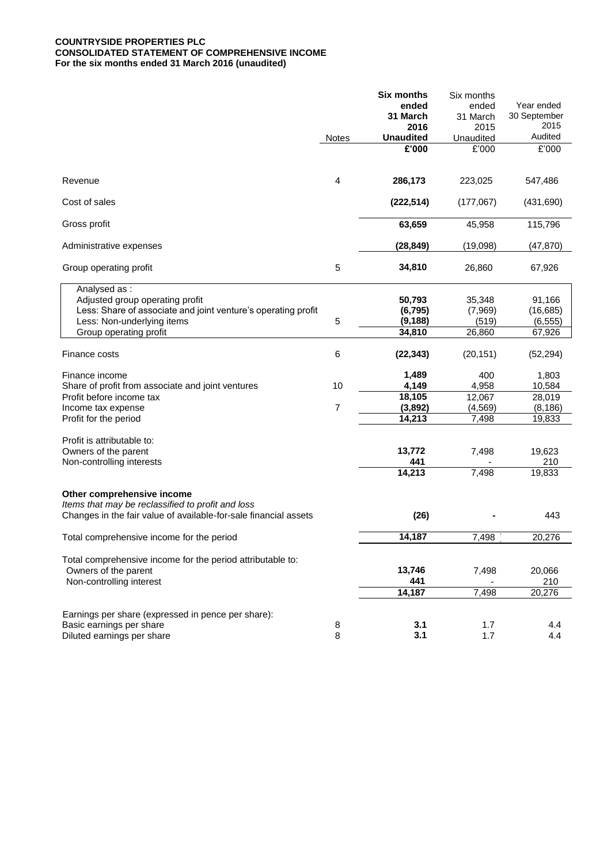# **COUNTRYSIDE PROPERTIES PLC CONSOLIDATED STATEMENT OF COMPREHENSIVE INCOME For the six months ended 31 March 2016 (unaudited)**

|                                                                                             |                | <b>Six months</b>  | Six months        |                       |
|---------------------------------------------------------------------------------------------|----------------|--------------------|-------------------|-----------------------|
|                                                                                             |                | ended              | ended             | Year ended            |
|                                                                                             |                | 31 March<br>2016   | 31 March<br>2015  | 30 September<br>2015  |
|                                                                                             | <b>Notes</b>   | Unaudited          | Unaudited         | Audited               |
|                                                                                             |                | E'000              | £'000             | £'000                 |
|                                                                                             |                |                    |                   |                       |
| Revenue                                                                                     | 4              | 286,173            | 223,025           | 547,486               |
| Cost of sales                                                                               |                | (222, 514)         | (177,067)         | (431, 690)            |
| Gross profit                                                                                |                | 63,659             | 45,958            | 115,796               |
| Administrative expenses                                                                     |                | (28, 849)          | (19,098)          | (47, 870)             |
| Group operating profit                                                                      | 5              | 34,810             | 26,860            | 67,926                |
| Analysed as:                                                                                |                |                    |                   |                       |
| Adjusted group operating profit                                                             |                | 50,793<br>(6, 795) | 35,348<br>(7,969) | 91,166                |
| Less: Share of associate and joint venture's operating profit<br>Less: Non-underlying items | 5              | (9, 188)           | (519)             | (16, 685)<br>(6, 555) |
| Group operating profit                                                                      |                | 34,810             | 26,860            | 67,926                |
|                                                                                             |                |                    |                   |                       |
| Finance costs                                                                               | 6              | (22, 343)          | (20, 151)         | (52, 294)             |
| Finance income                                                                              |                | 1,489              | 400               | 1,803                 |
| Share of profit from associate and joint ventures                                           | 10             | 4,149              | 4,958             | 10,584                |
| Profit before income tax                                                                    |                | 18,105             | 12,067            | 28,019                |
| Income tax expense                                                                          | $\overline{7}$ | (3,892)            | (4, 569)          | (8, 186)              |
| Profit for the period                                                                       |                | 14,213             | 7,498             | 19,833                |
|                                                                                             |                |                    |                   |                       |
| Profit is attributable to:                                                                  |                |                    |                   |                       |
| Owners of the parent                                                                        |                | 13,772             | 7,498             | 19,623                |
| Non-controlling interests                                                                   |                | 441                |                   | 210                   |
|                                                                                             |                | 14,213             | 7,498             | 19,833                |
| Other comprehensive income                                                                  |                |                    |                   |                       |
| Items that may be reclassified to profit and loss                                           |                |                    |                   |                       |
| Changes in the fair value of available-for-sale financial assets                            |                | (26)               |                   | 443                   |
| Total comprehensive income for the period                                                   |                | 14,187             | 7,498             | 20,276                |
|                                                                                             |                |                    |                   |                       |
| Total comprehensive income for the period attributable to:                                  |                |                    |                   |                       |
| Owners of the parent                                                                        |                | 13,746             | 7,498             | 20,066                |
| Non-controlling interest                                                                    |                | 441                |                   | 210                   |
|                                                                                             |                | 14,187             | 7,498             | 20,276                |
| Earnings per share (expressed in pence per share):                                          |                |                    |                   |                       |
| Basic earnings per share                                                                    | 8              | 3.1                | 1.7               | 4.4                   |
| Diluted earnings per share                                                                  | 8              | 3.1                | 1.7               | 4.4                   |
|                                                                                             |                |                    |                   |                       |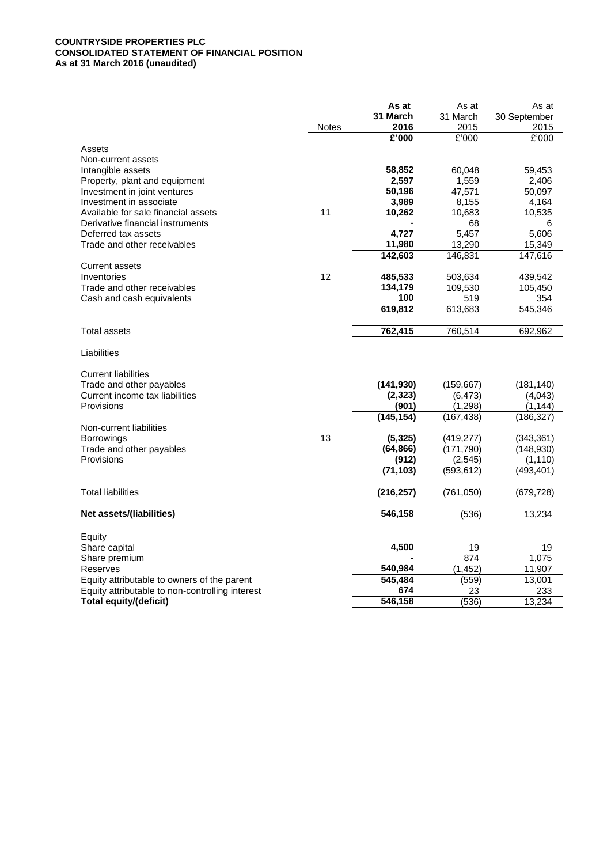# **COUNTRYSIDE PROPERTIES PLC CONSOLIDATED STATEMENT OF FINANCIAL POSITION As at 31 March 2016 (unaudited)**

|                                                 |              | As at      | As at      | As at        |
|-------------------------------------------------|--------------|------------|------------|--------------|
|                                                 |              | 31 March   | 31 March   | 30 September |
|                                                 | <b>Notes</b> | 2016       | 2015       | 2015         |
|                                                 |              | £'000      | E'000      | £'000        |
| Assets                                          |              |            |            |              |
| Non-current assets                              |              |            |            |              |
| Intangible assets                               |              | 58,852     | 60,048     | 59,453       |
| Property, plant and equipment                   |              | 2,597      | 1,559      | 2,406        |
| Investment in joint ventures                    |              | 50,196     | 47,571     | 50,097       |
| Investment in associate                         |              | 3,989      | 8,155      | 4,164        |
| Available for sale financial assets             | 11           | 10,262     | 10,683     | 10,535       |
| Derivative financial instruments                |              |            | 68         | 6            |
| Deferred tax assets                             |              | 4,727      | 5,457      | 5,606        |
| Trade and other receivables                     |              | 11,980     | 13,290     | 15,349       |
|                                                 |              | 142,603    | 146,831    | 147,616      |
| <b>Current assets</b>                           |              |            |            |              |
| Inventories                                     | 12           | 485,533    | 503,634    | 439,542      |
| Trade and other receivables                     |              | 134,179    | 109,530    | 105,450      |
| Cash and cash equivalents                       |              | 100        | 519        | 354          |
|                                                 |              | 619,812    | 613,683    | 545,346      |
|                                                 |              |            |            |              |
| <b>Total assets</b>                             |              | 762,415    | 760,514    | 692,962      |
|                                                 |              |            |            |              |
| Liabilities                                     |              |            |            |              |
|                                                 |              |            |            |              |
| <b>Current liabilities</b>                      |              |            |            |              |
| Trade and other payables                        |              | (141, 930) | (159, 667) | (181, 140)   |
| Current income tax liabilities                  |              | (2, 323)   | (6, 473)   | (4,043)      |
| Provisions                                      |              | (901)      | (1, 298)   | (1, 144)     |
|                                                 |              | (145, 154) | (167, 438) | (186, 327)   |
| Non-current liabilities                         |              |            |            |              |
| <b>Borrowings</b>                               | 13           | (5, 325)   | (419, 277) | (343, 361)   |
| Trade and other payables                        |              | (64, 866)  | (171, 790) | (148, 930)   |
| Provisions                                      |              | (912)      | (2, 545)   | (1, 110)     |
|                                                 |              | (71, 103)  | (593, 612) | (493, 401)   |
|                                                 |              |            |            |              |
| <b>Total liabilities</b>                        |              | (216, 257) | (761,050)  | (679, 728)   |
| Net assets/(liabilities)                        |              | 546,158    | (536)      | 13,234       |
|                                                 |              |            |            |              |
| Equity                                          |              |            |            |              |
| Share capital                                   |              | 4,500      | 19         | 19           |
| Share premium                                   |              |            | 874        | 1,075        |
| Reserves                                        |              | 540,984    | (1, 452)   | 11,907       |
| Equity attributable to owners of the parent     |              | 545,484    | (559)      | 13,001       |
| Equity attributable to non-controlling interest |              | 674        | 23         | 233          |
| Total equity/(deficit)                          |              | 546,158    | (536)      | 13,234       |
|                                                 |              |            |            |              |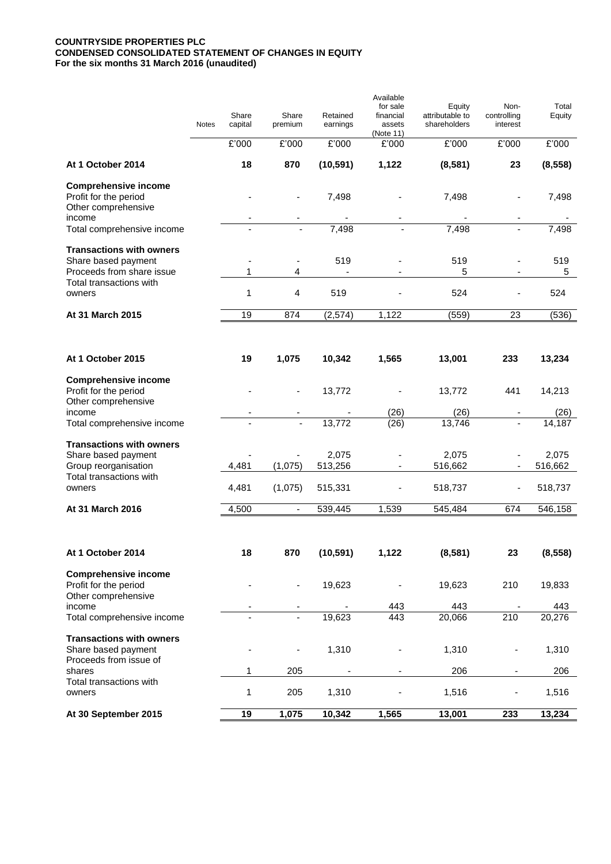# **COUNTRYSIDE PROPERTIES PLC CONDENSED CONSOLIDATED STATEMENT OF CHANGES IN EQUITY For the six months 31 March 2016 (unaudited)**

|                                                                                     | Notes | Share<br>capital | Share<br>premium         | Retained<br>earnings | Available<br>for sale<br>financial<br>assets<br>(Note 11) | Equity<br>attributable to<br>shareholders | Non-<br>controlling<br>interest                      | Total<br>Equity  |
|-------------------------------------------------------------------------------------|-------|------------------|--------------------------|----------------------|-----------------------------------------------------------|-------------------------------------------|------------------------------------------------------|------------------|
|                                                                                     |       | £'000            | £'000                    | £'000                | £'000                                                     | £'000                                     | £'000                                                | £'000            |
| At 1 October 2014                                                                   |       | 18               | 870                      | (10, 591)            | 1,122                                                     | (8,581)                                   | 23                                                   | (8, 558)         |
| <b>Comprehensive income</b><br>Profit for the period<br>Other comprehensive         |       |                  |                          | 7,498                |                                                           | 7,498                                     | ٠                                                    | 7,498            |
| income<br>Total comprehensive income                                                |       |                  |                          | 7,498                |                                                           | 7,498                                     |                                                      | 7,498            |
| <b>Transactions with owners</b><br>Share based payment<br>Proceeds from share issue |       | 1                | 4                        | 519                  |                                                           | 519<br>5                                  |                                                      | 519<br>5         |
| Total transactions with<br>owners                                                   |       | 1                | 4                        | 519                  |                                                           | 524                                       |                                                      | 524              |
| At 31 March 2015                                                                    |       | 19               | 874                      | (2, 574)             | 1,122                                                     | (559)                                     | 23                                                   | (536)            |
|                                                                                     |       |                  |                          |                      |                                                           |                                           |                                                      |                  |
| At 1 October 2015                                                                   |       | 19               | 1,075                    | 10,342               | 1,565                                                     | 13,001                                    | 233                                                  | 13,234           |
| <b>Comprehensive income</b><br>Profit for the period<br>Other comprehensive         |       |                  |                          | 13,772               |                                                           | 13,772                                    | 441                                                  | 14,213           |
| income<br>Total comprehensive income                                                |       |                  |                          | 13,772               | (26)<br>(26)                                              | (26)<br>13,746                            |                                                      | (26)<br>14,187   |
| <b>Transactions with owners</b><br>Share based payment<br>Group reorganisation      |       | 4,481            | (1,075)                  | 2,075<br>513,256     |                                                           | 2,075<br>516,662                          | $\overline{\phantom{a}}$<br>$\overline{\phantom{a}}$ | 2,075<br>516,662 |
| Total transactions with<br>owners                                                   |       | 4,481            | (1,075)                  | 515,331              |                                                           | 518,737                                   | ÷,                                                   | 518,737          |
| At 31 March 2016                                                                    |       | 4,500            | $\overline{\phantom{a}}$ | 539,445              | 1,539                                                     | 545,484                                   | 674                                                  | 546,158          |
|                                                                                     |       |                  |                          |                      |                                                           |                                           |                                                      |                  |
| At 1 October 2014                                                                   |       | 18               | 870                      | (10, 591)            | 1,122                                                     | (8,581)                                   | 23                                                   | (8, 558)         |
| <b>Comprehensive income</b><br>Profit for the period<br>Other comprehensive         |       |                  |                          | 19,623               |                                                           | 19,623                                    | 210                                                  | 19,833           |
| income                                                                              |       |                  |                          |                      | 443                                                       | 443                                       |                                                      | 443              |
| Total comprehensive income                                                          |       |                  |                          | 19,623               | 443                                                       | 20,066                                    | 210                                                  | 20,276           |
| <b>Transactions with owners</b><br>Share based payment<br>Proceeds from issue of    |       |                  |                          | 1,310                |                                                           | 1,310                                     |                                                      | 1,310            |
| shares                                                                              |       | 1                | 205                      |                      |                                                           | 206                                       |                                                      | 206              |
| Total transactions with<br>owners                                                   |       | 1                | 205                      | 1,310                |                                                           | 1,516                                     |                                                      | 1,516            |
| At 30 September 2015                                                                |       | 19               | 1,075                    | 10,342               | 1,565                                                     | 13,001                                    | 233                                                  | 13,234           |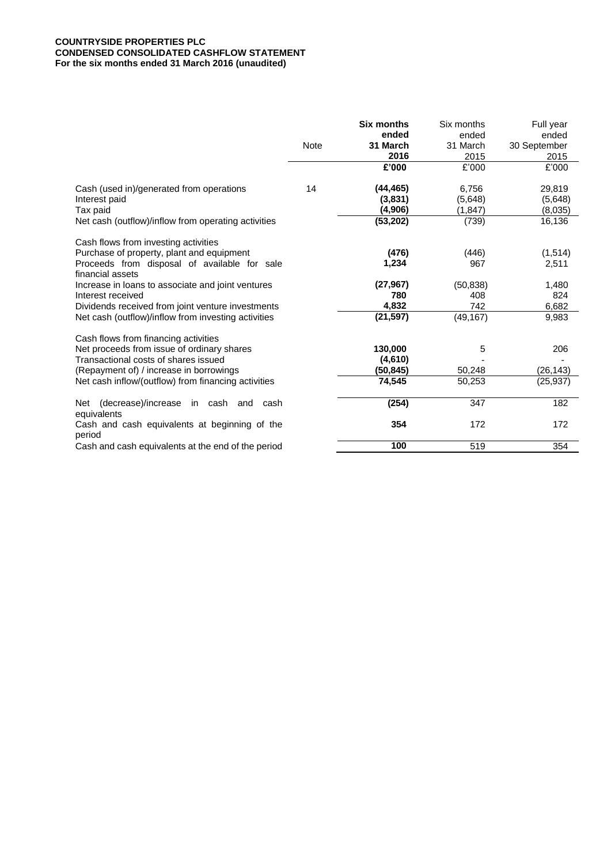# **COUNTRYSIDE PROPERTIES PLC CONDENSED CONSOLIDATED CASHFLOW STATEMENT For the six months ended 31 March 2016 (unaudited)**

|                                                                  |      | <b>Six months</b><br>ended | Six months<br>ended | Full year<br>ended |
|------------------------------------------------------------------|------|----------------------------|---------------------|--------------------|
|                                                                  | Note | 31 March                   | 31 March            | 30 September       |
|                                                                  |      | 2016                       | 2015                | 2015               |
|                                                                  |      | £'000                      | £'000               | £'000              |
| Cash (used in)/generated from operations                         | 14   | (44, 465)                  | 6,756               | 29,819             |
| Interest paid                                                    |      | (3,831)                    | (5,648)             | (5,648)            |
| Tax paid                                                         |      | (4,906)                    | (1, 847)            | (8,035)            |
| Net cash (outflow)/inflow from operating activities              |      | (53, 202)                  | (739)               | 16,136             |
| Cash flows from investing activities                             |      |                            |                     |                    |
| Purchase of property, plant and equipment                        |      | (476)                      | (446)               | (1,514)            |
| Proceeds from disposal of available for sale<br>financial assets |      | 1,234                      | 967                 | 2,511              |
| Increase in loans to associate and joint ventures                |      | (27, 967)                  | (50, 838)           | 1,480              |
| Interest received                                                |      | 780                        | 408                 | 824                |
| Dividends received from joint venture investments                |      | 4,832                      | 742                 | 6,682              |
| Net cash (outflow)/inflow from investing activities              |      | (21, 597)                  | (49, 167)           | 9,983              |
| Cash flows from financing activities                             |      |                            |                     |                    |
| Net proceeds from issue of ordinary shares                       |      | 130,000                    | 5                   | 206                |
| Transactional costs of shares issued                             |      | (4,610)                    |                     |                    |
| (Repayment of) / increase in borrowings                          |      | (50, 845)                  | 50,248              | (26, 143)          |
| Net cash inflow/(outflow) from financing activities              |      | 74,545                     | 50,253              | (25, 937)          |
| (decrease)/increase in cash and cash<br>Net<br>equivalents       |      | (254)                      | 347                 | 182                |
| Cash and cash equivalents at beginning of the<br>period          |      | 354                        | 172                 | 172                |
| Cash and cash equivalents at the end of the period               |      | 100                        | 519                 | 354                |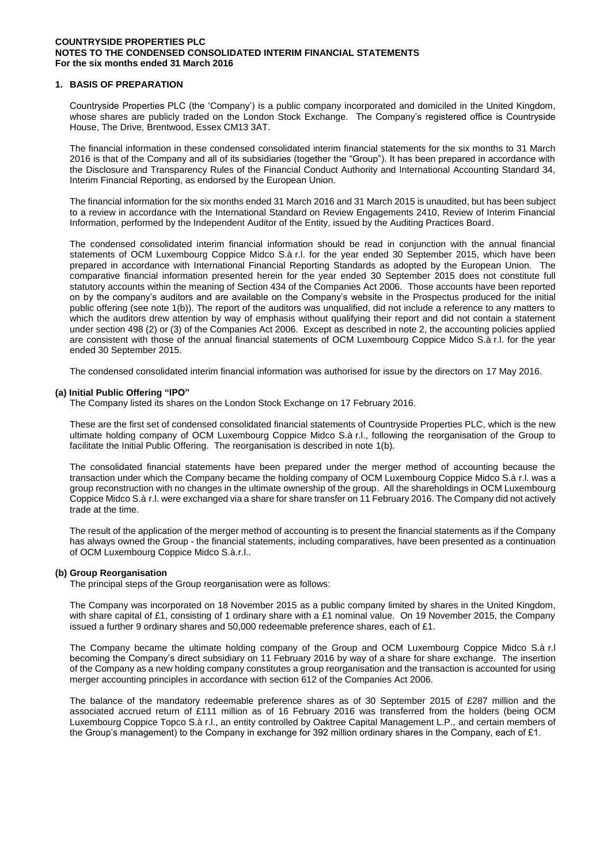## **1. BASIS OF PREPARATION**

Countryside Properties PLC (the 'Company') is a public company incorporated and domiciled in the United Kingdom, whose shares are publicly traded on the London Stock Exchange. The Company's registered office is Countryside House, The Drive, Brentwood, Essex CM13 3AT.

The financial information in these condensed consolidated interim financial statements for the six months to 31 March 2016 is that of the Company and all of its subsidiaries (together the "Group"). It has been prepared in accordance with the Disclosure and Transparency Rules of the Financial Conduct Authority and International Accounting Standard 34, Interim Financial Reporting, as endorsed by the European Union.

The financial information for the six months ended 31 March 2016 and 31 March 2015 is unaudited, but has been subject to a review in accordance with the International Standard on Review Engagements 2410, Review of Interim Financial Information, performed by the Independent Auditor of the Entity, issued by the Auditing Practices Board.

The condensed consolidated interim financial information should be read in conjunction with the annual financial statements of OCM Luxembourg Coppice Midco S.à r.l. for the year ended 30 September 2015, which have been prepared in accordance with International Financial Reporting Standards as adopted by the European Union. The comparative financial information presented herein for the year ended 30 September 2015 does not constitute full statutory accounts within the meaning of Section 434 of the Companies Act 2006. Those accounts have been reported on by the company's auditors and are available on the Company's website in the Prospectus produced for the initial public offering (see note 1(b)). The report of the auditors was unqualified, did not include a reference to any matters to which the auditors drew attention by way of emphasis without qualifying their report and did not contain a statement under section 498 (2) or (3) of the Companies Act 2006. Except as described in note 2, the accounting policies applied are consistent with those of the annual financial statements of OCM Luxembourg Coppice Midco S.à r.l. for the year ended 30 September 2015.

The condensed consolidated interim financial information was authorised for issue by the directors on 17 May 2016.

### **(a) Initial Public Offering "IPO"**

The Company listed its shares on the London Stock Exchange on 17 February 2016.

These are the first set of condensed consolidated financial statements of Countryside Properties PLC, which is the new ultimate holding company of OCM Luxembourg Coppice Midco S.à r.l., following the reorganisation of the Group to facilitate the Initial Public Offering. The reorganisation is described in note 1(b).

The consolidated financial statements have been prepared under the merger method of accounting because the transaction under which the Company became the holding company of OCM Luxembourg Coppice Midco S.à r.l. was a group reconstruction with no changes in the ultimate ownership of the group. All the shareholdings in OCM Luxembourg Coppice Midco S.à r.l. were exchanged via a share for share transfer on 11 February 2016. The Company did not actively trade at the time.

The result of the application of the merger method of accounting is to present the financial statements as if the Company has always owned the Group - the financial statements, including comparatives, have been presented as a continuation of OCM Luxembourg Coppice Midco S.à.r.l..

#### **(b) Group Reorganisation**

The principal steps of the Group reorganisation were as follows:

The Company was incorporated on 18 November 2015 as a public company limited by shares in the United Kingdom, with share capital of £1, consisting of 1 ordinary share with a £1 nominal value. On 19 November 2015, the Company issued a further 9 ordinary shares and 50,000 redeemable preference shares, each of £1.

The Company became the ultimate holding company of the Group and OCM Luxembourg Coppice Midco S.à r.l becoming the Company's direct subsidiary on 11 February 2016 by way of a share for share exchange. The insertion of the Company as a new holding company constitutes a group reorganisation and the transaction is accounted for using merger accounting principles in accordance with section 612 of the Companies Act 2006.

The balance of the mandatory redeemable preference shares as of 30 September 2015 of £287 million and the associated accrued return of £111 million as of 16 February 2016 was transferred from the holders (being OCM Luxembourg Coppice Topco S.à r.l., an entity controlled by Oaktree Capital Management L.P., and certain members of the Group's management) to the Company in exchange for 392 million ordinary shares in the Company, each of £1.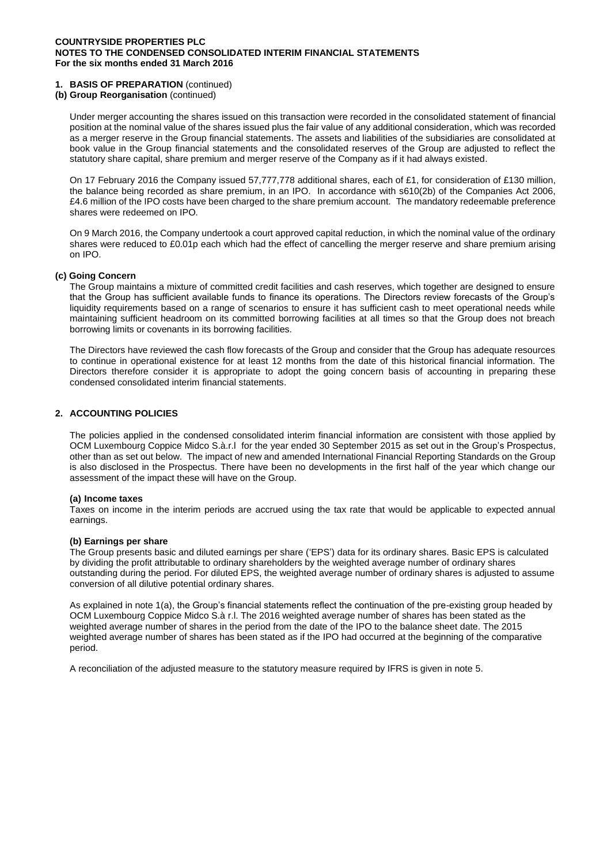# **1. BASIS OF PREPARATION** (continued)

# **(b) Group Reorganisation** (continued)

Under merger accounting the shares issued on this transaction were recorded in the consolidated statement of financial position at the nominal value of the shares issued plus the fair value of any additional consideration, which was recorded as a merger reserve in the Group financial statements. The assets and liabilities of the subsidiaries are consolidated at book value in the Group financial statements and the consolidated reserves of the Group are adjusted to reflect the statutory share capital, share premium and merger reserve of the Company as if it had always existed.

On 17 February 2016 the Company issued 57,777,778 additional shares, each of £1, for consideration of £130 million, the balance being recorded as share premium, in an IPO. In accordance with s610(2b) of the Companies Act 2006, £4.6 million of the IPO costs have been charged to the share premium account. The mandatory redeemable preference shares were redeemed on IPO.

On 9 March 2016, the Company undertook a court approved capital reduction, in which the nominal value of the ordinary shares were reduced to £0.01p each which had the effect of cancelling the merger reserve and share premium arising on IPO.

### **(c) Going Concern**

The Group maintains a mixture of committed credit facilities and cash reserves, which together are designed to ensure that the Group has sufficient available funds to finance its operations. The Directors review forecasts of the Group's liquidity requirements based on a range of scenarios to ensure it has sufficient cash to meet operational needs while maintaining sufficient headroom on its committed borrowing facilities at all times so that the Group does not breach borrowing limits or covenants in its borrowing facilities.

The Directors have reviewed the cash flow forecasts of the Group and consider that the Group has adequate resources to continue in operational existence for at least 12 months from the date of this historical financial information. The Directors therefore consider it is appropriate to adopt the going concern basis of accounting in preparing these condensed consolidated interim financial statements.

# **2. ACCOUNTING POLICIES**

The policies applied in the condensed consolidated interim financial information are consistent with those applied by OCM Luxembourg Coppice Midco S.à.r.l for the year ended 30 September 2015 as set out in the Group's Prospectus, other than as set out below. The impact of new and amended International Financial Reporting Standards on the Group is also disclosed in the Prospectus. There have been no developments in the first half of the year which change our assessment of the impact these will have on the Group.

#### **(a) Income taxes**

Taxes on income in the interim periods are accrued using the tax rate that would be applicable to expected annual earnings.

### **(b) Earnings per share**

The Group presents basic and diluted earnings per share ('EPS') data for its ordinary shares. Basic EPS is calculated by dividing the profit attributable to ordinary shareholders by the weighted average number of ordinary shares outstanding during the period. For diluted EPS, the weighted average number of ordinary shares is adjusted to assume conversion of all dilutive potential ordinary shares.

As explained in note 1(a), the Group's financial statements reflect the continuation of the pre-existing group headed by OCM Luxembourg Coppice Midco S.à r.l. The 2016 weighted average number of shares has been stated as the weighted average number of shares in the period from the date of the IPO to the balance sheet date. The 2015 weighted average number of shares has been stated as if the IPO had occurred at the beginning of the comparative period.

A reconciliation of the adjusted measure to the statutory measure required by IFRS is given in note 5.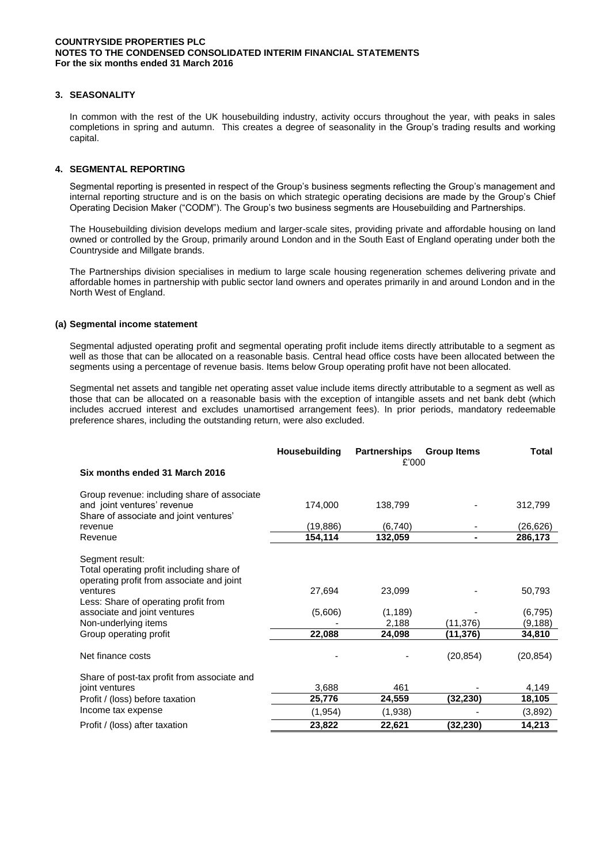## **3. SEASONALITY**

In common with the rest of the UK housebuilding industry, activity occurs throughout the year, with peaks in sales completions in spring and autumn. This creates a degree of seasonality in the Group's trading results and working capital.

### **4. SEGMENTAL REPORTING**

Segmental reporting is presented in respect of the Group's business segments reflecting the Group's management and internal reporting structure and is on the basis on which strategic operating decisions are made by the Group's Chief Operating Decision Maker ("CODM"). The Group's two business segments are Housebuilding and Partnerships.

The Housebuilding division develops medium and larger-scale sites, providing private and affordable housing on land owned or controlled by the Group, primarily around London and in the South East of England operating under both the Countryside and Millgate brands.

The Partnerships division specialises in medium to large scale housing regeneration schemes delivering private and affordable homes in partnership with public sector land owners and operates primarily in and around London and in the North West of England.

#### **(a) Segmental income statement**

Segmental adjusted operating profit and segmental operating profit include items directly attributable to a segment as well as those that can be allocated on a reasonable basis. Central head office costs have been allocated between the segments using a percentage of revenue basis. Items below Group operating profit have not been allocated.

Segmental net assets and tangible net operating asset value include items directly attributable to a segment as well as those that can be allocated on a reasonable basis with the exception of intangible assets and net bank debt (which includes accrued interest and excludes unamortised arrangement fees). In prior periods, mandatory redeemable preference shares, including the outstanding return, were also excluded.

|                                                                                                                                                                                                                                                 | Housebuilding               | <b>Partnerships</b>                   | <b>Group Items</b>   | <b>Total</b>                            |
|-------------------------------------------------------------------------------------------------------------------------------------------------------------------------------------------------------------------------------------------------|-----------------------------|---------------------------------------|----------------------|-----------------------------------------|
| Six months ended 31 March 2016                                                                                                                                                                                                                  |                             | £'000                                 |                      |                                         |
| Group revenue: including share of associate<br>and joint ventures' revenue<br>Share of associate and joint ventures'                                                                                                                            | 174,000                     | 138,799                               |                      | 312,799                                 |
| revenue                                                                                                                                                                                                                                         | (19, 886)                   | (6,740)                               |                      | (26,626)                                |
| Revenue                                                                                                                                                                                                                                         | 154,114                     | 132,059                               | $\blacksquare$       | 286,173                                 |
| Segment result:<br>Total operating profit including share of<br>operating profit from associate and joint<br>ventures<br>Less: Share of operating profit from<br>associate and joint ventures<br>Non-underlying items<br>Group operating profit | 27,694<br>(5,606)<br>22,088 | 23,099<br>(1, 189)<br>2,188<br>24,098 | (11,376)<br>(11,376) | 50,793<br>(6, 795)<br>(9,188)<br>34,810 |
| Net finance costs                                                                                                                                                                                                                               |                             |                                       | (20, 854)            | (20, 854)                               |
| Share of post-tax profit from associate and<br>joint ventures                                                                                                                                                                                   | 3,688                       | 461                                   |                      | 4,149                                   |
| Profit / (loss) before taxation                                                                                                                                                                                                                 | 25,776                      | 24,559                                | (32,230)             | 18,105                                  |
| Income tax expense                                                                                                                                                                                                                              | (1, 954)                    | (1,938)                               |                      | (3,892)                                 |
| Profit / (loss) after taxation                                                                                                                                                                                                                  | 23,822                      | 22,621                                | (32,230)             | 14,213                                  |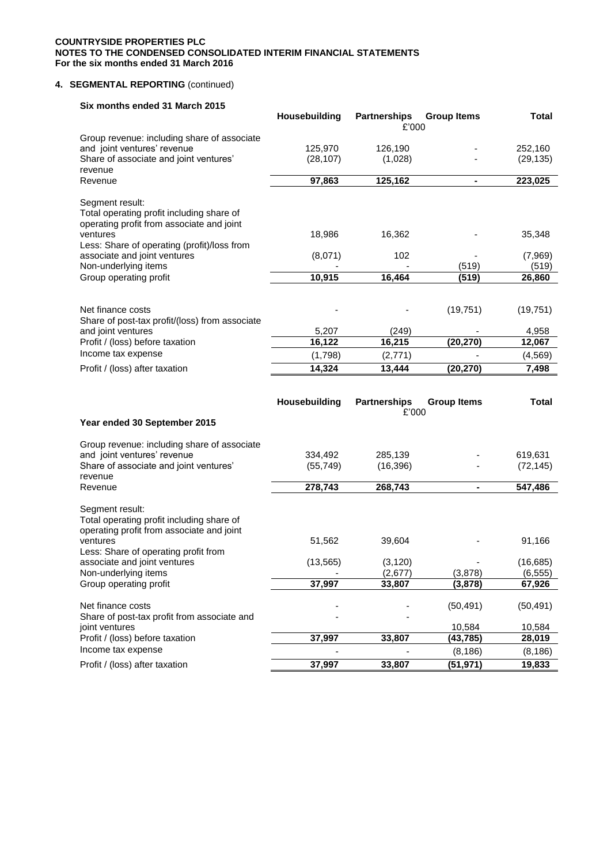# **4. SEGMENTAL REPORTING** (continued)

| Six months ended 31 March 2015                                                                                        |               |                              |                       |                       |
|-----------------------------------------------------------------------------------------------------------------------|---------------|------------------------------|-----------------------|-----------------------|
|                                                                                                                       | Housebuilding | <b>Partnerships</b>          | <b>Group Items</b>    | <b>Total</b>          |
|                                                                                                                       |               | £'000                        |                       |                       |
| Group revenue: including share of associate<br>and joint ventures' revenue                                            | 125,970       | 126,190                      |                       | 252,160               |
| Share of associate and joint ventures'                                                                                | (28, 107)     | (1,028)                      |                       | (29, 135)             |
| revenue                                                                                                               |               |                              |                       |                       |
| Revenue                                                                                                               | 97,863        | 125,162                      | $\blacksquare$        | 223,025               |
| Segment result:<br>Total operating profit including share of<br>operating profit from associate and joint<br>ventures | 18,986        | 16,362                       |                       | 35,348                |
| Less: Share of operating (profit)/loss from<br>associate and joint ventures                                           | (8,071)       | 102                          |                       | (7,969)               |
| Non-underlying items                                                                                                  |               |                              | (519)                 | (519)                 |
| Group operating profit                                                                                                | 10,915        | 16,464                       | (519)                 | 26,860                |
|                                                                                                                       |               |                              |                       |                       |
| Net finance costs<br>Share of post-tax profit/(loss) from associate                                                   |               |                              | (19, 751)             | (19, 751)             |
| and joint ventures                                                                                                    | 5.207         | (249)                        |                       | 4,958                 |
| Profit / (loss) before taxation                                                                                       | 16,122        | 16,215                       | (20, 270)             | 12,067                |
| Income tax expense                                                                                                    | (1,798)       | (2,771)                      |                       | (4, 569)              |
| Profit / (loss) after taxation                                                                                        | 14,324        | 13,444                       | (20, 270)             | 7,498                 |
|                                                                                                                       |               |                              |                       |                       |
| Year ended 30 September 2015                                                                                          | Housebuilding | <b>Partnerships</b><br>£'000 | <b>Group Items</b>    | <b>Total</b>          |
|                                                                                                                       |               |                              |                       |                       |
| Group revenue: including share of associate                                                                           |               |                              |                       |                       |
| and joint ventures' revenue                                                                                           | 334,492       | 285,139                      |                       | 619,631               |
| Share of associate and joint ventures'<br>revenue                                                                     | (55, 749)     | (16, 396)                    |                       | (72, 145)             |
| Revenue                                                                                                               | 278,743       | 268,743                      |                       | 547,486               |
| Segment result:<br>Total operating profit including share of<br>operating profit from associate and joint             |               |                              |                       |                       |
| ventures                                                                                                              | 51,562        | 39,604                       |                       | 91,166                |
| Less: Share of operating profit from                                                                                  |               |                              |                       |                       |
| associate and joint ventures<br>Non-underlying items                                                                  | (13, 565)     | (3, 120)<br>(2,677)          | (3,878)               | (16, 685)<br>(6, 555) |
| Group operating profit                                                                                                | 37,997        | 33,807                       | (3,878)               | 67,926                |
| Net finance costs                                                                                                     |               |                              | (50, 491)             | (50, 491)             |
| Share of post-tax profit from associate and<br>joint ventures                                                         |               |                              | 10,584                | 10,584                |
| Profit / (loss) before taxation                                                                                       | 37,997        | 33,807                       | (43, 785)             | 28,019                |
| Income tax expense<br>Profit / (loss) after taxation                                                                  | 37,997        | 33,807                       | (8, 186)<br>(51, 971) | (8, 186)<br>19,833    |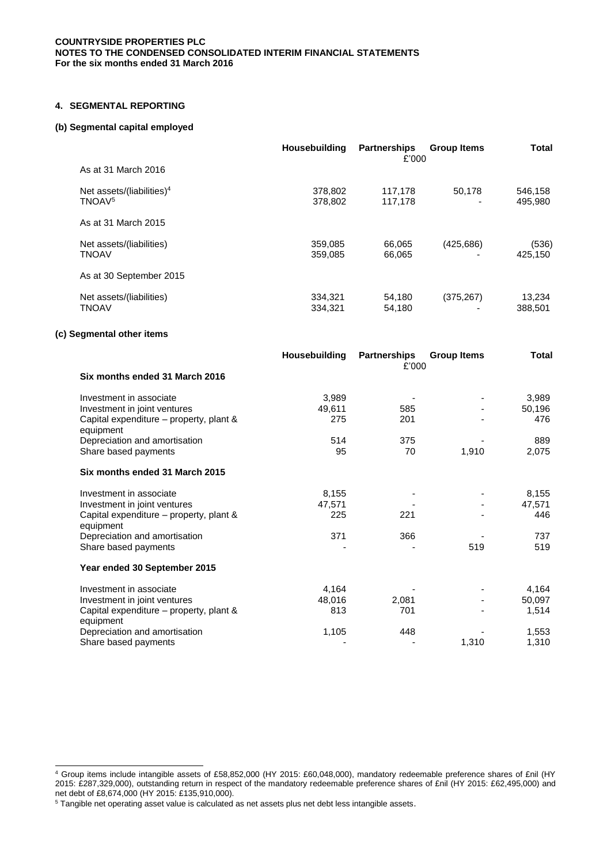## **4. SEGMENTAL REPORTING**

### **(b) Segmental capital employed**

|                                                    | <b>Housebuilding</b> | <b>Partnerships</b><br>£'000 | <b>Group Items</b> | <b>Total</b>       |
|----------------------------------------------------|----------------------|------------------------------|--------------------|--------------------|
| As at 31 March 2016                                |                      |                              |                    |                    |
| Net assets/(liabilities) $4$<br>TNOAV <sup>5</sup> | 378,802<br>378,802   | 117,178<br>117,178           | 50,178<br>-        | 546,158<br>495,980 |
| As at 31 March 2015                                |                      |                              |                    |                    |
| Net assets/(liabilities)<br><b>TNOAV</b>           | 359,085<br>359.085   | 66,065<br>66,065             | (425, 686)         | (536)<br>425,150   |
| As at 30 September 2015                            |                      |                              |                    |                    |
| Net assets/(liabilities)<br>TNOAV                  | 334,321<br>334.321   | 54,180<br>54,180             | (375, 267)         | 13,234<br>388,501  |

# **(c) Segmental other items**

|                                                      | Housebuilding | <b>Partnerships</b><br>£'000 | <b>Group Items</b> | Total  |
|------------------------------------------------------|---------------|------------------------------|--------------------|--------|
| Six months ended 31 March 2016                       |               |                              |                    |        |
| Investment in associate                              | 3,989         |                              |                    | 3,989  |
| Investment in joint ventures                         | 49,611        | 585                          |                    | 50,196 |
| Capital expenditure - property, plant &<br>equipment | 275           | 201                          |                    | 476    |
| Depreciation and amortisation                        | 514           | 375                          |                    | 889    |
| Share based payments                                 | 95            | 70                           | 1,910              | 2,075  |
| Six months ended 31 March 2015                       |               |                              |                    |        |
| Investment in associate                              | 8,155         |                              |                    | 8,155  |
| Investment in joint ventures                         | 47,571        |                              |                    | 47,571 |
| Capital expenditure – property, plant &<br>equipment | 225           | 221                          |                    | 446    |
| Depreciation and amortisation                        | 371           | 366                          |                    | 737    |
| Share based payments                                 |               |                              | 519                | 519    |
| Year ended 30 September 2015                         |               |                              |                    |        |
| Investment in associate                              | 4,164         |                              |                    | 4,164  |
| Investment in joint ventures                         | 48,016        | 2,081                        |                    | 50,097 |
| Capital expenditure - property, plant &<br>equipment | 813           | 701                          |                    | 1,514  |
| Depreciation and amortisation                        | 1,105         | 448                          |                    | 1,553  |
| Share based payments                                 |               |                              | 1,310              | 1,310  |

l <sup>4</sup> Group items include intangible assets of £58,852,000 (HY 2015: £60,048,000), mandatory redeemable preference shares of £nil (HY 2015: £287,329,000), outstanding return in respect of the mandatory redeemable preference shares of £nil (HY 2015: £62,495,000) and net debt of £8,674,000 (HY 2015: £135,910,000).

<sup>5</sup> Tangible net operating asset value is calculated as net assets plus net debt less intangible assets.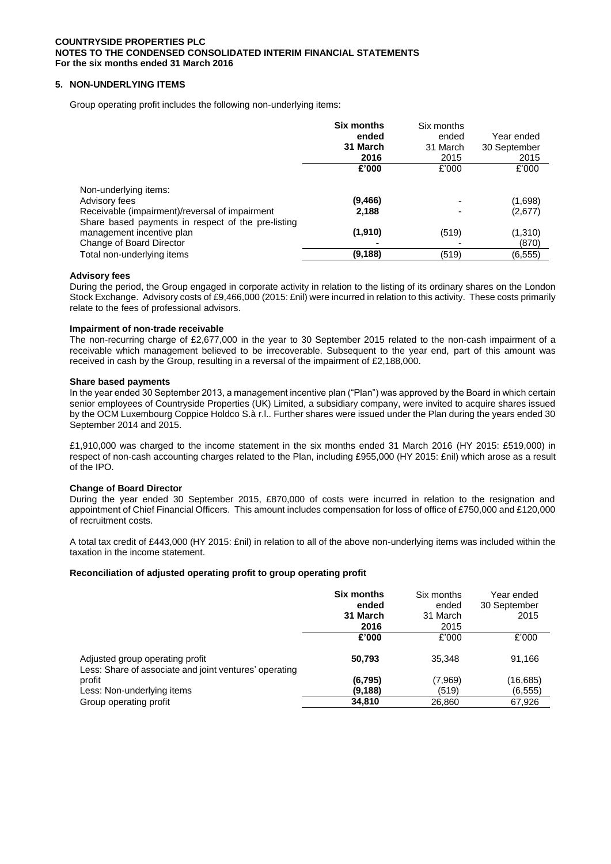# **5. NON-UNDERLYING ITEMS**

Group operating profit includes the following non-underlying items:

|                                                                                                      | <b>Six months</b><br>ended<br>31 March<br>2016 | Six months<br>ended<br>31 March<br>2015 | Year ended<br>30 September<br>2015 |
|------------------------------------------------------------------------------------------------------|------------------------------------------------|-----------------------------------------|------------------------------------|
|                                                                                                      | £'000                                          | £'000                                   | £'000                              |
| Non-underlying items:                                                                                |                                                |                                         |                                    |
| Advisory fees                                                                                        | (9, 466)                                       |                                         | (1,698)                            |
| Receivable (impairment)/reversal of impairment<br>Share based payments in respect of the pre-listing | 2,188                                          | ٠                                       | (2,677)                            |
| management incentive plan                                                                            | (1,910)                                        | (519)                                   | (1,310)                            |
| Change of Board Director                                                                             |                                                |                                         | (870)                              |
| Total non-underlying items                                                                           | (9,188)                                        | (519)                                   | (6.555)                            |

### **Advisory fees**

During the period, the Group engaged in corporate activity in relation to the listing of its ordinary shares on the London Stock Exchange. Advisory costs of £9,466,000 (2015: £nil) were incurred in relation to this activity. These costs primarily relate to the fees of professional advisors.

### **Impairment of non-trade receivable**

The non-recurring charge of £2,677,000 in the year to 30 September 2015 related to the non-cash impairment of a receivable which management believed to be irrecoverable. Subsequent to the year end, part of this amount was received in cash by the Group, resulting in a reversal of the impairment of £2,188,000.

### **Share based payments**

In the year ended 30 September 2013, a management incentive plan ("Plan") was approved by the Board in which certain senior employees of Countryside Properties (UK) Limited, a subsidiary company, were invited to acquire shares issued by the OCM Luxembourg Coppice Holdco S.à r.l.. Further shares were issued under the Plan during the years ended 30 September 2014 and 2015.

£1,910,000 was charged to the income statement in the six months ended 31 March 2016 (HY 2015: £519,000) in respect of non-cash accounting charges related to the Plan, including £955,000 (HY 2015: £nil) which arose as a result of the IPO.

### **Change of Board Director**

During the year ended 30 September 2015, £870,000 of costs were incurred in relation to the resignation and appointment of Chief Financial Officers. This amount includes compensation for loss of office of £750,000 and £120,000 of recruitment costs.

A total tax credit of £443,000 (HY 2015: £nil) in relation to all of the above non-underlying items was included within the taxation in the income statement.

### **Reconciliation of adjusted operating profit to group operating profit**

|                                                                                           | <b>Six months</b><br>ended<br>31 March<br>2016 | Six months<br>ended<br>31 March<br>2015 | Year ended<br>30 September<br>2015 |
|-------------------------------------------------------------------------------------------|------------------------------------------------|-----------------------------------------|------------------------------------|
|                                                                                           | £'000                                          | £'000                                   | £'000                              |
| Adjusted group operating profit<br>Less: Share of associate and joint ventures' operating | 50.793                                         | 35.348                                  | 91,166                             |
| profit                                                                                    | (6, 795)                                       | (7,969)                                 | (16, 685)                          |
| Less: Non-underlying items                                                                | (9, 188)                                       | (519)                                   | (6, 555)                           |
| Group operating profit                                                                    | 34,810                                         | 26,860                                  | 67,926                             |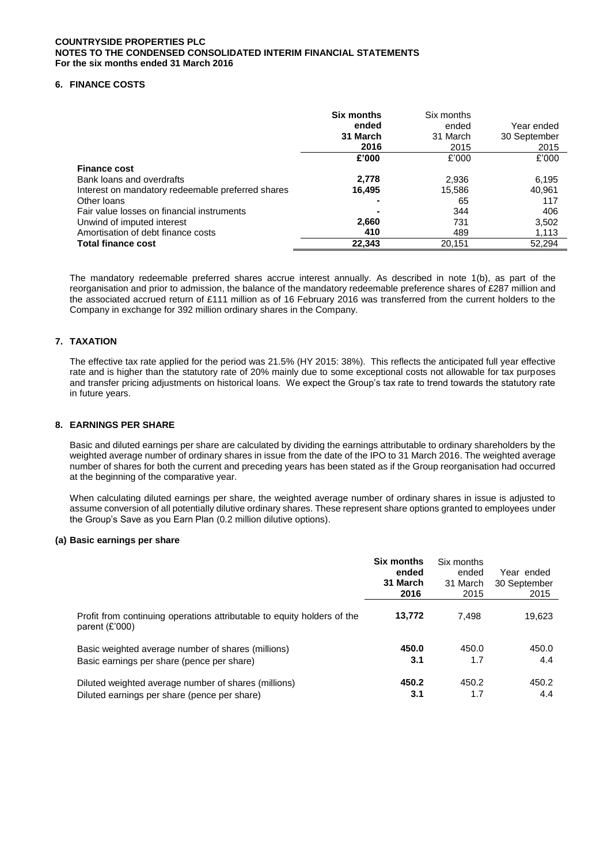# **6. FINANCE COSTS**

|                                                   | <b>Six months</b><br>ended<br>31 March<br>2016 | Six months<br>ended<br>31 March<br>2015 | Year ended<br>30 September<br>2015 |
|---------------------------------------------------|------------------------------------------------|-----------------------------------------|------------------------------------|
|                                                   | £'000                                          | £'000                                   | £'000                              |
| <b>Finance cost</b>                               |                                                |                                         |                                    |
| Bank loans and overdrafts                         | 2,778                                          | 2,936                                   | 6,195                              |
| Interest on mandatory redeemable preferred shares | 16,495                                         | 15,586                                  | 40,961                             |
| Other Ioans                                       |                                                | 65                                      | 117                                |
| Fair value losses on financial instruments        |                                                | 344                                     | 406                                |
| Unwind of imputed interest                        | 2,660                                          | 731                                     | 3,502                              |
| Amortisation of debt finance costs                | 410                                            | 489                                     | 1,113                              |
| <b>Total finance cost</b>                         | 22,343                                         | 20,151                                  | 52,294                             |

The mandatory redeemable preferred shares accrue interest annually. As described in note 1(b), as part of the reorganisation and prior to admission, the balance of the mandatory redeemable preference shares of £287 million and the associated accrued return of £111 million as of 16 February 2016 was transferred from the current holders to the Company in exchange for 392 million ordinary shares in the Company.

# **7. TAXATION**

The effective tax rate applied for the period was 21.5% (HY 2015: 38%). This reflects the anticipated full year effective rate and is higher than the statutory rate of 20% mainly due to some exceptional costs not allowable for tax purposes and transfer pricing adjustments on historical loans. We expect the Group's tax rate to trend towards the statutory rate in future years.

### **8. EARNINGS PER SHARE**

Basic and diluted earnings per share are calculated by dividing the earnings attributable to ordinary shareholders by the weighted average number of ordinary shares in issue from the date of the IPO to 31 March 2016. The weighted average number of shares for both the current and preceding years has been stated as if the Group reorganisation had occurred at the beginning of the comparative year.

When calculating diluted earnings per share, the weighted average number of ordinary shares in issue is adjusted to assume conversion of all potentially dilutive ordinary shares. These represent share options granted to employees under the Group's Save as you Earn Plan (0.2 million dilutive options).

#### **(a) Basic earnings per share**

|                                                                                             | <b>Six months</b><br>ended<br>31 March<br>2016 | Six months<br>ended<br>31 March<br>2015 | Year ended<br>30 September<br>2015 |
|---------------------------------------------------------------------------------------------|------------------------------------------------|-----------------------------------------|------------------------------------|
| Profit from continuing operations attributable to equity holders of the<br>parent $(E'000)$ | 13,772                                         | 7,498                                   | 19,623                             |
| Basic weighted average number of shares (millions)                                          | 450.0                                          | 450.0                                   | 450.0                              |
| Basic earnings per share (pence per share)                                                  | 3.1                                            | 1.7                                     | 4.4                                |
| Diluted weighted average number of shares (millions)                                        | 450.2                                          | 450.2                                   | 450.2                              |
| Diluted earnings per share (pence per share)                                                | 3.1                                            | 1.7                                     | 4.4                                |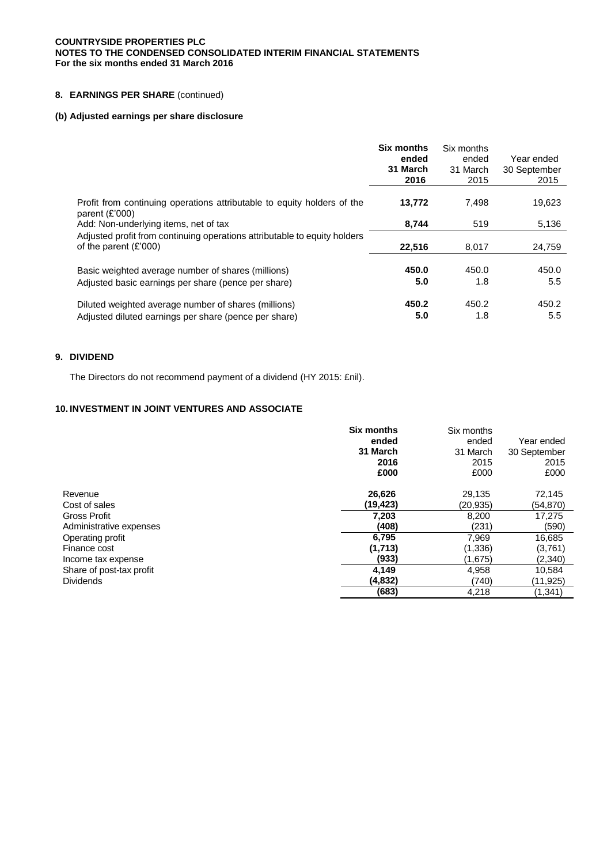# **8. EARNINGS PER SHARE** (continued)

# **(b) Adjusted earnings per share disclosure**

|                                                                                                                                      | <b>Six months</b><br>ended<br>31 March<br>2016 | Six months<br>ended<br>31 March<br>2015 | Year ended<br>30 September<br>2015 |
|--------------------------------------------------------------------------------------------------------------------------------------|------------------------------------------------|-----------------------------------------|------------------------------------|
| Profit from continuing operations attributable to equity holders of the<br>parent $(E'000)$<br>Add: Non-underlying items, net of tax | 13,772<br>8.744                                | 7.498<br>519                            | 19,623<br>5,136                    |
| Adjusted profit from continuing operations attributable to equity holders<br>of the parent $(E'000)$                                 | 22,516                                         | 8.017                                   | 24,759                             |
| Basic weighted average number of shares (millions)<br>Adjusted basic earnings per share (pence per share)                            | 450.0<br>5.0                                   | 450.0<br>1.8                            | 450.0<br>5.5                       |
| Diluted weighted average number of shares (millions)<br>Adjusted diluted earnings per share (pence per share)                        | 450.2<br>5.0                                   | 450.2<br>1.8                            | 450.2<br>$5.5^{\circ}$             |

# **9. DIVIDEND**

The Directors do not recommend payment of a dividend (HY 2015: £nil).

# **10. INVESTMENT IN JOINT VENTURES AND ASSOCIATE**

|                          | <b>Six months</b><br>ended<br>31 March<br>2016<br>£000 | Six months<br>ended<br>31 March<br>2015<br>£000 | Year ended<br>30 September<br>2015<br>£000 |
|--------------------------|--------------------------------------------------------|-------------------------------------------------|--------------------------------------------|
| Revenue                  | 26,626                                                 | 29,135                                          | 72,145                                     |
| Cost of sales            | (19,423)                                               | (20,935)                                        | (54, 870)                                  |
| <b>Gross Profit</b>      | 7,203                                                  | 8,200                                           | 17,275                                     |
| Administrative expenses  | (408)                                                  | (231)                                           | (590)                                      |
| Operating profit         | 6,795                                                  | 7,969                                           | 16,685                                     |
| Finance cost             | (1,713)                                                | (1,336)                                         | (3,761)                                    |
| Income tax expense       | (933)                                                  | (1,675)                                         | (2,340)                                    |
| Share of post-tax profit | 4,149                                                  | 4,958                                           | 10,584                                     |
| <b>Dividends</b>         | (4,832)                                                | (740)                                           | (11,925)                                   |
|                          | (683)                                                  | 4,218                                           | (1,341)                                    |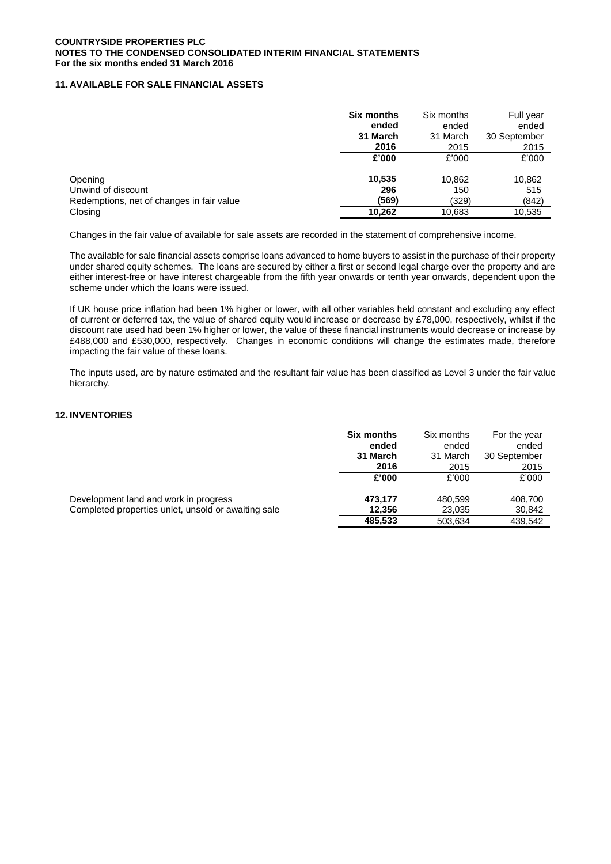# **11. AVAILABLE FOR SALE FINANCIAL ASSETS**

|                                           | <b>Six months</b> | Six months | Full year    |
|-------------------------------------------|-------------------|------------|--------------|
|                                           | ended             | ended      | ended        |
|                                           | 31 March          | 31 March   | 30 September |
|                                           | 2016              | 2015       | 2015         |
|                                           | £'000             | £'000      | £'000        |
| Opening                                   | 10,535            | 10,862     | 10,862       |
| Unwind of discount                        | 296               | 150        | 515          |
| Redemptions, net of changes in fair value | (569)             | (329)      | (842)        |
| Closing                                   | 10,262            | 10,683     | 10,535       |

Changes in the fair value of available for sale assets are recorded in the statement of comprehensive income.

The available for sale financial assets comprise loans advanced to home buyers to assist in the purchase of their property under shared equity schemes. The loans are secured by either a first or second legal charge over the property and are either interest-free or have interest chargeable from the fifth year onwards or tenth year onwards, dependent upon the scheme under which the loans were issued.

If UK house price inflation had been 1% higher or lower, with all other variables held constant and excluding any effect of current or deferred tax, the value of shared equity would increase or decrease by £78,000, respectively, whilst if the discount rate used had been 1% higher or lower, the value of these financial instruments would decrease or increase by £488,000 and £530,000, respectively. Changes in economic conditions will change the estimates made, therefore impacting the fair value of these loans.

The inputs used, are by nature estimated and the resultant fair value has been classified as Level 3 under the fair value hierarchy.

# **12. INVENTORIES**

| <b>Six months</b><br>ended<br>31 March | Six months<br>ended<br>31 March | For the year<br>ended<br>30 September |
|----------------------------------------|---------------------------------|---------------------------------------|
| 2016                                   | 2015                            | 2015                                  |
| £'000                                  | £'000                           | £'000                                 |
| 473,177                                | 480,599                         | 408,700                               |
| 12.356                                 | 23,035                          | 30,842                                |
| 485,533                                | 503,634                         | 439,542                               |
|                                        |                                 |                                       |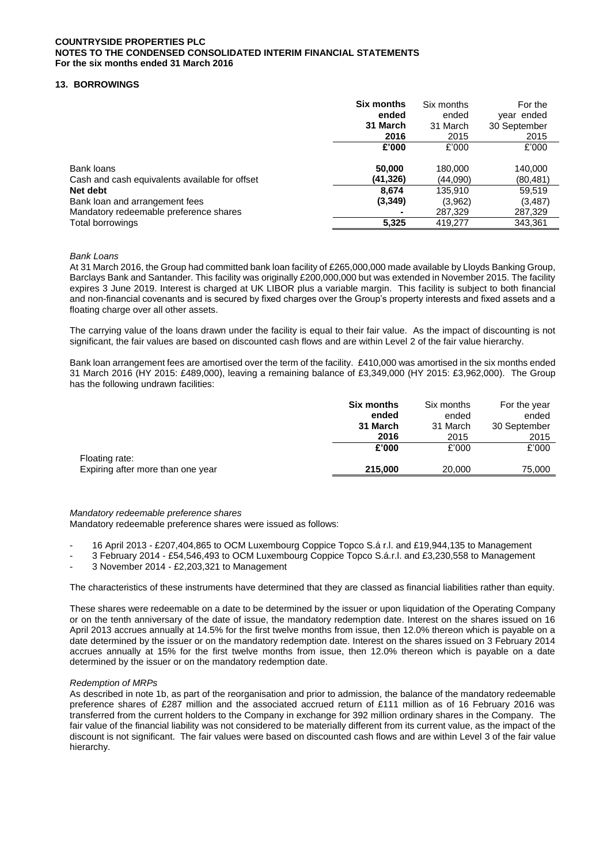# **13. BORROWINGS**

|                                                              | <b>Six months</b><br>ended<br>31 March<br>2016 | Six months<br>ended<br>31 March<br>2015 | For the<br>year ended<br>30 September<br>2015 |
|--------------------------------------------------------------|------------------------------------------------|-----------------------------------------|-----------------------------------------------|
|                                                              | £'000                                          | £'000                                   | £'000                                         |
| Bank loans<br>Cash and cash equivalents available for offset | 50,000<br>(41,326)                             | 180,000<br>(44,090)                     | 140,000<br>(80,481)                           |
| Net debt                                                     | 8.674                                          | 135.910                                 | 59,519                                        |
| Bank loan and arrangement fees                               | (3,349)                                        | (3,962)                                 | (3,487)                                       |
| Mandatory redeemable preference shares                       |                                                | 287,329                                 | 287,329                                       |
| Total borrowings                                             | 5,325                                          | 419,277                                 | 343,361                                       |

### *Bank Loans*

At 31 March 2016, the Group had committed bank loan facility of £265,000,000 made available by Lloyds Banking Group, Barclays Bank and Santander. This facility was originally £200,000,000 but was extended in November 2015. The facility expires 3 June 2019. Interest is charged at UK LIBOR plus a variable margin. This facility is subject to both financial and non-financial covenants and is secured by fixed charges over the Group's property interests and fixed assets and a floating charge over all other assets.

The carrying value of the loans drawn under the facility is equal to their fair value. As the impact of discounting is not significant, the fair values are based on discounted cash flows and are within Level 2 of the fair value hierarchy.

Bank loan arrangement fees are amortised over the term of the facility. £410,000 was amortised in the six months ended 31 March 2016 (HY 2015: £489,000), leaving a remaining balance of £3,349,000 (HY 2015: £3,962,000). The Group has the following undrawn facilities:

|                                                     | Six months<br>ended<br>31 March | Six months<br>ended<br>31 March | For the year<br>ended<br>30 September |
|-----------------------------------------------------|---------------------------------|---------------------------------|---------------------------------------|
|                                                     | 2016                            | 2015                            | 2015                                  |
|                                                     | £'000                           | £'000                           | £'000                                 |
| Floating rate:<br>Expiring after more than one year | 215,000                         | 20,000                          | 75,000                                |

*Mandatory redeemable preference shares* 

Mandatory redeemable preference shares were issued as follows:

- 16 April 2013 £207,404,865 to OCM Luxembourg Coppice Topco S.á r.l. and £19,944,135 to Management
- 3 February 2014 £54,546,493 to OCM Luxembourg Coppice Topco S.á.r.l. and £3,230,558 to Management
- 3 November 2014 £2,203,321 to Management

The characteristics of these instruments have determined that they are classed as financial liabilities rather than equity.

These shares were redeemable on a date to be determined by the issuer or upon liquidation of the Operating Company or on the tenth anniversary of the date of issue, the mandatory redemption date. Interest on the shares issued on 16 April 2013 accrues annually at 14.5% for the first twelve months from issue, then 12.0% thereon which is payable on a date determined by the issuer or on the mandatory redemption date. Interest on the shares issued on 3 February 2014 accrues annually at 15% for the first twelve months from issue, then 12.0% thereon which is payable on a date determined by the issuer or on the mandatory redemption date.

#### *Redemption of MRPs*

As described in note 1b, as part of the reorganisation and prior to admission, the balance of the mandatory redeemable preference shares of £287 million and the associated accrued return of £111 million as of 16 February 2016 was transferred from the current holders to the Company in exchange for 392 million ordinary shares in the Company. The fair value of the financial liability was not considered to be materially different from its current value, as the impact of the discount is not significant. The fair values were based on discounted cash flows and are within Level 3 of the fair value hierarchy.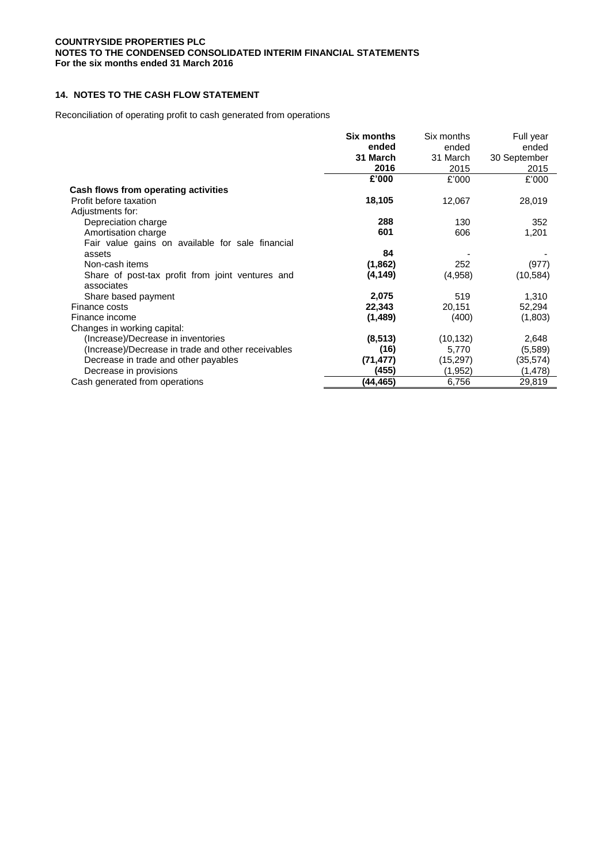# **14. NOTES TO THE CASH FLOW STATEMENT**

Reconciliation of operating profit to cash generated from operations

|                                                                | Six months | Six months | Full year    |
|----------------------------------------------------------------|------------|------------|--------------|
|                                                                | ended      | ended      | ended        |
|                                                                | 31 March   | 31 March   | 30 September |
|                                                                | 2016       | 2015       | 2015         |
|                                                                | £'000      | £'000      | £'000        |
| Cash flows from operating activities                           |            |            |              |
| Profit before taxation                                         | 18,105     | 12,067     | 28,019       |
| Adjustments for:                                               |            |            |              |
| Depreciation charge                                            | 288        | 130        | 352          |
| Amortisation charge                                            | 601        | 606        | 1,201        |
| Fair value gains on available for sale financial               |            |            |              |
| assets                                                         | 84         |            |              |
| Non-cash items                                                 | (1,862)    | 252        | (977)        |
| Share of post-tax profit from joint ventures and<br>associates | (4, 149)   | (4,958)    | (10, 584)    |
| Share based payment                                            | 2,075      | 519        | 1,310        |
| Finance costs                                                  | 22,343     | 20,151     | 52,294       |
| Finance income                                                 | (1,489)    | (400)      | (1,803)      |
| Changes in working capital:                                    |            |            |              |
| (Increase)/Decrease in inventories                             | (8, 513)   | (10, 132)  | 2,648        |
| (Increase)/Decrease in trade and other receivables             | (16)       | 5,770      | (5,589)      |
| Decrease in trade and other payables                           | (71, 477)  | (15, 297)  | (35,574)     |
| Decrease in provisions                                         | (455)      | (1,952)    | (1, 478)     |
| Cash generated from operations                                 | (44,465)   | 6,756      | 29,819       |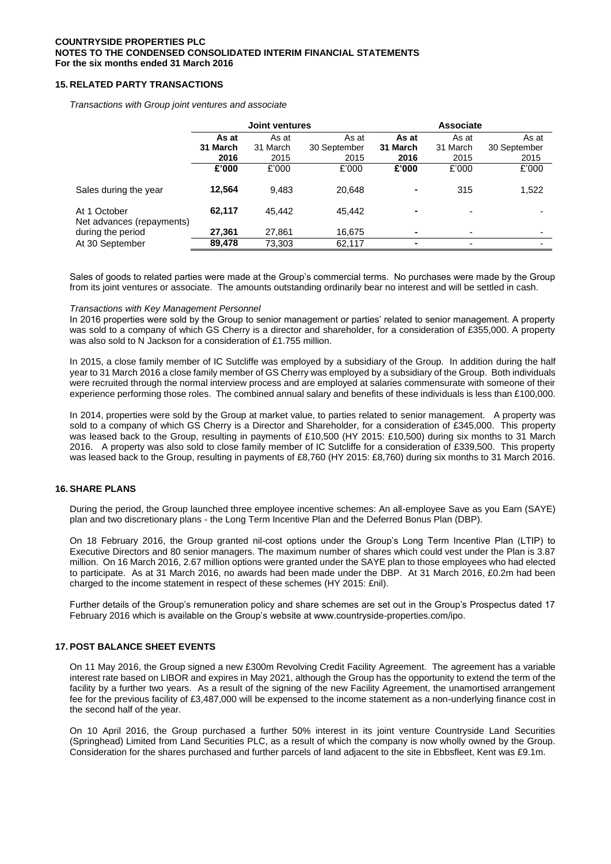# **15. RELATED PARTY TRANSACTIONS**

*Transactions with Group joint ventures and associate*

|                                           | <b>Joint ventures</b> |          |              | <b>Associate</b>         |                          |              |
|-------------------------------------------|-----------------------|----------|--------------|--------------------------|--------------------------|--------------|
|                                           | As at                 | As at    | As at        | As at                    | As at                    | As at        |
|                                           | 31 March              | 31 March | 30 September | 31 March                 | 31 March                 | 30 September |
|                                           | 2016                  | 2015     | 2015         | 2016                     | 2015                     | 2015         |
|                                           | £'000                 | £'000    | £'000        | £'000                    | £'000                    | £'000        |
| Sales during the year                     | 12.564                | 9.483    | 20.648       |                          | 315                      | 1,522        |
| At 1 October<br>Net advances (repayments) | 62,117                | 45.442   | 45.442       | $\overline{\phantom{0}}$ |                          |              |
| during the period                         | 27,361                | 27,861   | 16,675       | ۰                        |                          |              |
| At 30 September                           | 89,478                | 73,303   | 62,117       |                          | $\overline{\phantom{0}}$ |              |

Sales of goods to related parties were made at the Group's commercial terms. No purchases were made by the Group from its joint ventures or associate. The amounts outstanding ordinarily bear no interest and will be settled in cash.

#### *Transactions with Key Management Personnel*

In 2016 properties were sold by the Group to senior management or parties' related to senior management. A property was sold to a company of which GS Cherry is a director and shareholder, for a consideration of £355,000. A property was also sold to N Jackson for a consideration of £1.755 million.

In 2015, a close family member of IC Sutcliffe was employed by a subsidiary of the Group. In addition during the half year to 31 March 2016 a close family member of GS Cherry was employed by a subsidiary of the Group. Both individuals were recruited through the normal interview process and are employed at salaries commensurate with someone of their experience performing those roles. The combined annual salary and benefits of these individuals is less than £100,000.

In 2014, properties were sold by the Group at market value, to parties related to senior management. A property was sold to a company of which GS Cherry is a Director and Shareholder, for a consideration of £345,000. This property was leased back to the Group, resulting in payments of £10,500 (HY 2015: £10,500) during six months to 31 March 2016. A property was also sold to close family member of IC Sutcliffe for a consideration of £339,500. This property was leased back to the Group, resulting in payments of £8,760 (HY 2015: £8,760) during six months to 31 March 2016.

### **16. SHARE PLANS**

During the period, the Group launched three employee incentive schemes: An all-employee Save as you Earn (SAYE) plan and two discretionary plans - the Long Term Incentive Plan and the Deferred Bonus Plan (DBP).

On 18 February 2016, the Group granted nil-cost options under the Group's Long Term Incentive Plan (LTIP) to Executive Directors and 80 senior managers. The maximum number of shares which could vest under the Plan is 3.87 million. On 16 March 2016, 2.67 million options were granted under the SAYE plan to those employees who had elected to participate. As at 31 March 2016, no awards had been made under the DBP. At 31 March 2016, £0.2m had been charged to the income statement in respect of these schemes (HY 2015: £nil).

Further details of the Group's remuneration policy and share schemes are set out in the Group's Prospectus dated 17 February 2016 which is available on the Group's website at www.countryside-properties.com/ipo.

## **17. POST BALANCE SHEET EVENTS**

On 11 May 2016, the Group signed a new £300m Revolving Credit Facility Agreement. The agreement has a variable interest rate based on LIBOR and expires in May 2021, although the Group has the opportunity to extend the term of the facility by a further two years. As a result of the signing of the new Facility Agreement, the unamortised arrangement fee for the previous facility of £3,487,000 will be expensed to the income statement as a non-underlying finance cost in the second half of the year.

On 10 April 2016, the Group purchased a further 50% interest in its joint venture Countryside Land Securities (Springhead) Limited from Land Securities PLC, as a result of which the company is now wholly owned by the Group. Consideration for the shares purchased and further parcels of land adjacent to the site in Ebbsfleet, Kent was £9.1m.